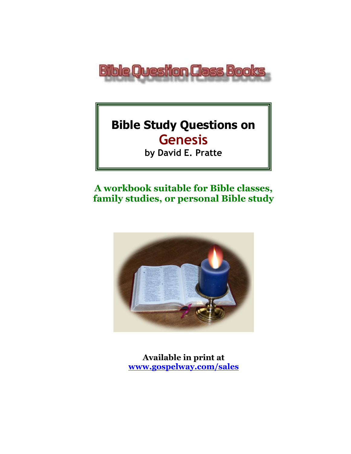

# **Bible Study Questions on Genesis**

**by David E. Pratte**

# **A workbook suitable for Bible classes, family studies, or personal Bible study**



**Available in print at [www.gospelway.com/sales](https://www.gospelway.com/sales)**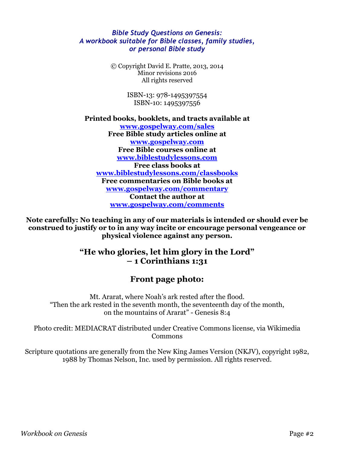#### *Bible Study Questions on Genesis: A workbook suitable for Bible classes, family studies, or personal Bible study*

© Copyright David E. Pratte, 2013, 2014 Minor revisions 2016 All rights reserved

> ISBN-13: 978-1495397554 ISBN-10: 1495397556

**Printed books, booklets, and tracts available at [www.gospelway.com/sales](https://www.gospelway.com/sales) Free Bible study articles online at [www.gospelway.com](http://www.gospelway.com/) Free Bible courses online at [www.biblestudylessons.com](http://www.biblestudylessons.com/) Free class books at [www.biblestudylessons.com/classbooks](http://www.biblestudylessons.com/classbooks) Free commentaries on Bible books at [www.gospelway.com/commentary](http://www.gospelway.com/commentary) Contact the author at [www.gospelway.com/comments](http://www.gospelway.com/comments)**

**Note carefully: No teaching in any of our materials is intended or should ever be construed to justify or to in any way incite or encourage personal vengeance or physical violence against any person.**

#### **"He who glories, let him glory in the Lord" – 1 Corinthians 1:31**

#### **Front page photo:**

Mt. Ararat, where Noah's ark rested after the flood. "Then the ark rested in the seventh month, the seventeenth day of the month, on the mountains of Ararat" - Genesis 8:4

Photo credit: MEDIACRAT distributed under Creative Commons license, via Wikimedia Commons

Scripture quotations are generally from the New King James Version (NKJV), copyright 1982, 1988 by Thomas Nelson, Inc. used by permission. All rights reserved.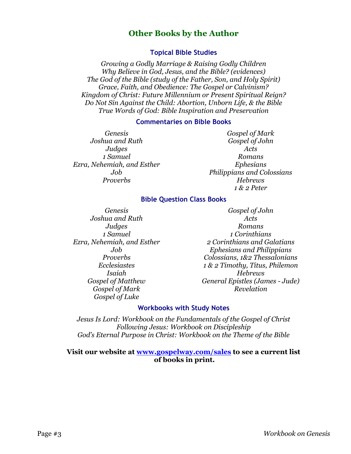#### **Other Books by the Author**

#### **Topical Bible Studies**

*Growing a Godly Marriage & Raising Godly Children Why Believe in God, Jesus, and the Bible? (evidences) The God of the Bible (study of the Father, Son, and Holy Spirit) Grace, Faith, and Obedience: The Gospel or Calvinism? Kingdom of Christ: Future Millennium or Present Spiritual Reign? Do Not Sin Against the Child: Abortion, Unborn Life, & the Bible True Words of God: Bible Inspiration and Preservation*

#### **Commentaries on Bible Books**

*Genesis Joshua and Ruth Judges 1 Samuel Ezra, Nehemiah, and Esther Job Proverbs*

*Gospel of Mark Gospel of John Acts Romans Ephesians Philippians and Colossians Hebrews 1 & 2 Peter*

#### **Bible Question Class Books**

*Genesis Joshua and Ruth Judges 1 Samuel Ezra, Nehemiah, and Esther Job Proverbs Ecclesiastes Isaiah Gospel of Matthew Gospel of Mark Gospel of Luke*

*Gospel of John Acts Romans 1 Corinthians 2 Corinthians and Galatians Ephesians and Philippians Colossians, 1&2 Thessalonians 1 & 2 Timothy, Titus, Philemon Hebrews General Epistles (James - Jude) Revelation*

#### **Workbooks with Study Notes**

*Jesus Is Lord: Workbook on the Fundamentals of the Gospel of Christ Following Jesus: Workbook on Discipleship God's Eternal Purpose in Christ: Workbook on the Theme of the Bible*

#### **Visit our website at [www.gospelway.com/sales](https://www.gospelway.com/sales) to see a current list of books in print.**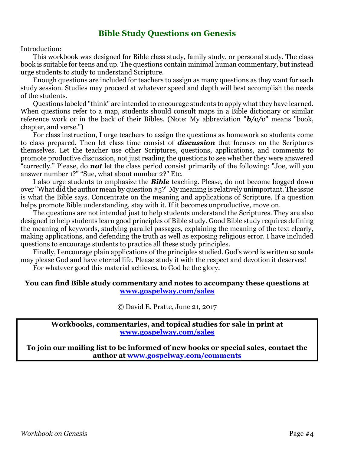#### **Bible Study Questions on Genesis**

Introduction:

This workbook was designed for Bible class study, family study, or personal study. The class book is suitable for teens and up. The questions contain minimal human commentary, but instead urge students to study to understand Scripture.

Enough questions are included for teachers to assign as many questions as they want for each study session. Studies may proceed at whatever speed and depth will best accomplish the needs of the students.

Questions labeled "think" are intended to encourage students to apply what they have learned. When questions refer to a map, students should consult maps in a Bible dictionary or similar reference work or in the back of their Bibles. (Note: My abbreviation "*b/c/v*" means "book, chapter, and verse.")

For class instruction, I urge teachers to assign the questions as homework so students come to class prepared. Then let class time consist of *discussion* that focuses on the Scriptures themselves. Let the teacher use other Scriptures, questions, applications, and comments to promote productive discussion, not just reading the questions to see whether they were answered "correctly." Please, do *not* let the class period consist primarily of the following: "Joe, will you answer number 1?" "Sue, what about number 2?" Etc.

I also urge students to emphasize the *Bible* teaching. Please, do not become bogged down over "What did the author mean by question #5?" My meaning is relatively unimportant. The issue is what the Bible says. Concentrate on the meaning and applications of Scripture. If a question helps promote Bible understanding, stay with it. If it becomes unproductive, move on.

The questions are not intended just to help students understand the Scriptures. They are also designed to help students learn good principles of Bible study. Good Bible study requires defining the meaning of keywords, studying parallel passages, explaining the meaning of the text clearly, making applications, and defending the truth as well as exposing religious error. I have included questions to encourage students to practice all these study principles.

Finally, I encourage plain applications of the principles studied. God's word is written so souls may please God and have eternal life. Please study it with the respect and devotion it deserves!

For whatever good this material achieves, to God be the glory.

#### **You can find Bible study commentary and notes to accompany these questions at [www.gospelway.com/sales](https://www.gospelway.com/sales)**

© David E. Pratte, June 21, 2017

**Workbooks, commentaries, and topical studies for sale in print at [www.gospelway.com/sales](https://www.gospelway.com/sales)**

**To join our mailing list to be informed of new books or special sales, contact the author at [www.gospelway.com/comments](http://www.gospelway.com/comments)**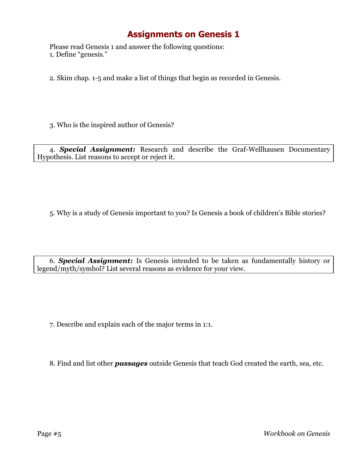Please read Genesis 1 and answer the following questions: 1. Define "genesis."

2. Skim chap. 1-5 and make a list of things that begin as recorded in Genesis.

3. Who is the inspired author of Genesis?

4. *Special Assignment:* Research and describe the Graf-Wellhausen Documentary Hypothesis. List reasons to accept or reject it.

5. Why is a study of Genesis important to you? Is Genesis a book of children's Bible stories?

6. *Special Assignment:* Is Genesis intended to be taken as fundamentally history or legend/myth/symbol? List several reasons as evidence for your view.

7. Describe and explain each of the major terms in 1:1.

8. Find and list other *passages* outside Genesis that teach God created the earth, sea, etc.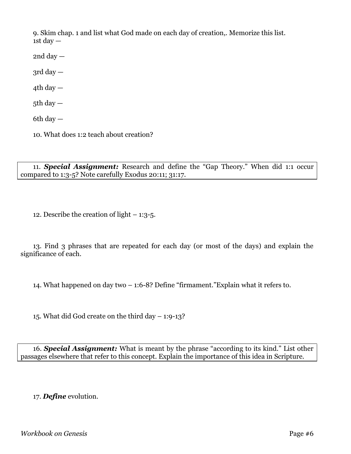9. Skim chap. 1 and list what God made on each day of creation,. Memorize this list. 1st day  $-$ 

 $2nd$  day  $-$ 

 $3rd day -$ 

 $4th$  day  $-$ 

5th day  $-$ 

6th day  $-$ 

10. What does 1:2 teach about creation?

11. *Special Assignment:* Research and define the "Gap Theory." When did 1:1 occur compared to 1:3-5? Note carefully Exodus 20:11; 31:17.

12. Describe the creation of light – 1:3-5.

13. Find 3 phrases that are repeated for each day (or most of the days) and explain the significance of each.

14. What happened on day two – 1:6-8? Define "firmament."Explain what it refers to.

15. What did God create on the third day – 1:9-13?

16. *Special Assignment:* What is meant by the phrase "according to its kind." List other passages elsewhere that refer to this concept. Explain the importance of this idea in Scripture.

17. *Define* evolution.

*Workbook on Genesis* Page #6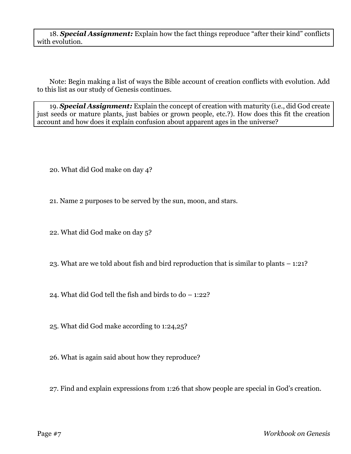18. *Special Assignment:* Explain how the fact things reproduce "after their kind" conflicts with evolution.

Note: Begin making a list of ways the Bible account of creation conflicts with evolution. Add to this list as our study of Genesis continues.

19. *Special Assignment:* Explain the concept of creation with maturity (i.e., did God create just seeds or mature plants, just babies or grown people, etc.?). How does this fit the creation account and how does it explain confusion about apparent ages in the universe?

20. What did God make on day 4?

21. Name 2 purposes to be served by the sun, moon, and stars.

22. What did God make on day 5?

23. What are we told about fish and bird reproduction that is similar to plants – 1:21?

24. What did God tell the fish and birds to do – 1:22?

25. What did God make according to 1:24,25?

26. What is again said about how they reproduce?

27. Find and explain expressions from 1:26 that show people are special in God's creation.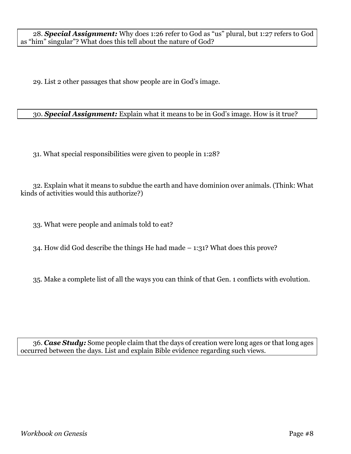28. *Special Assignment:* Why does 1:26 refer to God as "us" plural, but 1:27 refers to God as "him" singular"? What does this tell about the nature of God?

29. List 2 other passages that show people are in God's image.

30. *Special Assignment:* Explain what it means to be in God's image. How is it true?

31. What special responsibilities were given to people in 1:28?

32. Explain what it means to subdue the earth and have dominion over animals. (Think: What kinds of activities would this authorize?)

33. What were people and animals told to eat?

34. How did God describe the things He had made – 1:31? What does this prove?

35. Make a complete list of all the ways you can think of that Gen. 1 conflicts with evolution.

36. *Case Study:* Some people claim that the days of creation were long ages or that long ages occurred between the days. List and explain Bible evidence regarding such views.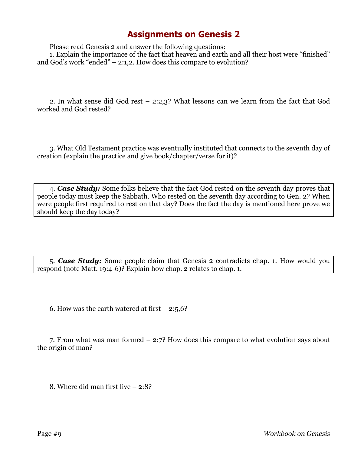Please read Genesis 2 and answer the following questions:

1. Explain the importance of the fact that heaven and earth and all their host were "finished" and God's work "ended" – 2:1,2. How does this compare to evolution?

2. In what sense did God rest – 2:2,3? What lessons can we learn from the fact that God worked and God rested?

3. What Old Testament practice was eventually instituted that connects to the seventh day of creation (explain the practice and give book/chapter/verse for it)?

4. *Case Study:* Some folks believe that the fact God rested on the seventh day proves that people today must keep the Sabbath. Who rested on the seventh day according to Gen. 2? When were people first required to rest on that day? Does the fact the day is mentioned here prove we should keep the day today?

5. *Case Study:* Some people claim that Genesis 2 contradicts chap. 1. How would you respond (note Matt. 19:4-6)? Explain how chap. 2 relates to chap. 1.

6. How was the earth watered at first  $-2:5,6$ ?

7. From what was man formed – 2:7? How does this compare to what evolution says about the origin of man?

8. Where did man first live – 2:8?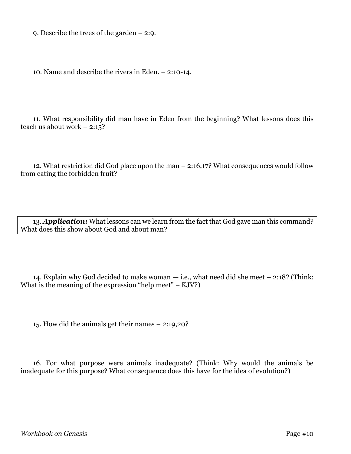9. Describe the trees of the garden – 2:9.

10. Name and describe the rivers in Eden. – 2:10-14.

11. What responsibility did man have in Eden from the beginning? What lessons does this teach us about work  $-2:15$ ?

12. What restriction did God place upon the man – 2:16,17? What consequences would follow from eating the forbidden fruit?

13. *Application:* What lessons can we learn from the fact that God gave man this command? What does this show about God and about man?

14. Explain why God decided to make woman — i.e., what need did she meet – 2:18? (Think: What is the meaning of the expression "help meet" –  $KJV$ ?)

15. How did the animals get their names – 2:19,20?

16. For what purpose were animals inadequate? (Think: Why would the animals be inadequate for this purpose? What consequence does this have for the idea of evolution?)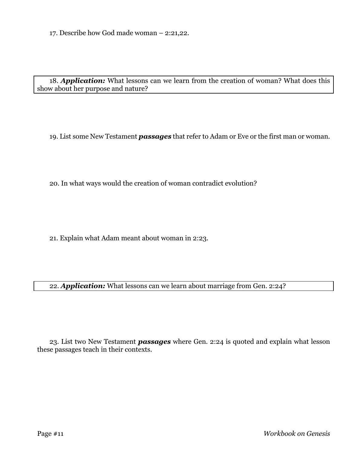17. Describe how God made woman – 2:21,22.

18. *Application:* What lessons can we learn from the creation of woman? What does this show about her purpose and nature?

19. List some New Testament *passages* that refer to Adam or Eve or the first man or woman.

20. In what ways would the creation of woman contradict evolution?

21. Explain what Adam meant about woman in 2:23.

22. *Application:* What lessons can we learn about marriage from Gen. 2:24?

23. List two New Testament *passages* where Gen. 2:24 is quoted and explain what lesson these passages teach in their contexts.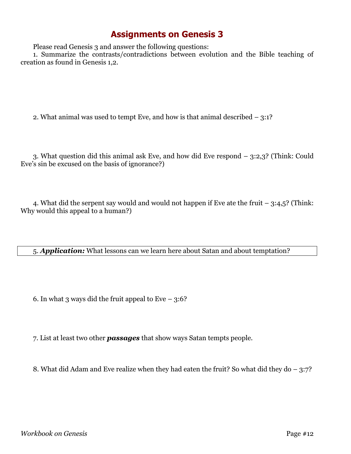Please read Genesis 3 and answer the following questions:

1. Summarize the contrasts/contradictions between evolution and the Bible teaching of creation as found in Genesis 1,2.

2. What animal was used to tempt Eve, and how is that animal described – 3:1?

3. What question did this animal ask Eve, and how did Eve respond – 3:2,3? (Think: Could Eve's sin be excused on the basis of ignorance?)

4. What did the serpent say would and would not happen if Eve ate the fruit – 3:4,5? (Think: Why would this appeal to a human?)

5. *Application:* What lessons can we learn here about Satan and about temptation?

6. In what 3 ways did the fruit appeal to Eve  $-3:6$ ?

7. List at least two other *passages* that show ways Satan tempts people.

8. What did Adam and Eve realize when they had eaten the fruit? So what did they do – 3:7?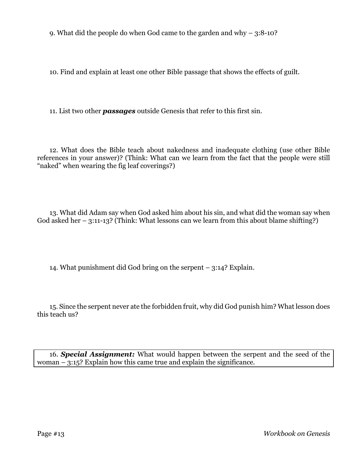9. What did the people do when God came to the garden and why – 3:8-10?

10. Find and explain at least one other Bible passage that shows the effects of guilt.

11. List two other *passages* outside Genesis that refer to this first sin.

12. What does the Bible teach about nakedness and inadequate clothing (use other Bible references in your answer)? (Think: What can we learn from the fact that the people were still "naked" when wearing the fig leaf coverings?)

13. What did Adam say when God asked him about his sin, and what did the woman say when God asked her – 3:11-13? (Think: What lessons can we learn from this about blame shifting?)

14. What punishment did God bring on the serpent – 3:14? Explain.

15. Since the serpent never ate the forbidden fruit, why did God punish him? What lesson does this teach us?

16. *Special Assignment:* What would happen between the serpent and the seed of the woman – 3:15? Explain how this came true and explain the significance.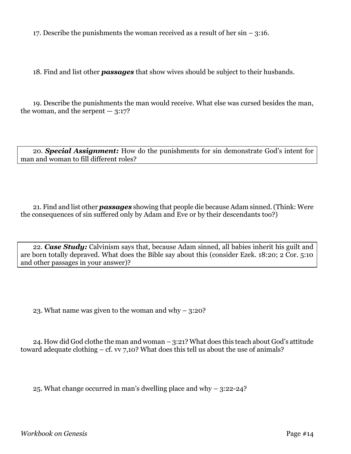17. Describe the punishments the woman received as a result of her sin – 3:16.

18. Find and list other *passages* that show wives should be subject to their husbands.

19. Describe the punishments the man would receive. What else was cursed besides the man, the woman, and the serpent  $-3:17$ ?

20. *Special Assignment:* How do the punishments for sin demonstrate God's intent for man and woman to fill different roles?

21. Find and list other *passages* showing that people die because Adam sinned. (Think: Were the consequences of sin suffered only by Adam and Eve or by their descendants too?)

22. *Case Study:* Calvinism says that, because Adam sinned, all babies inherit his guilt and are born totally depraved. What does the Bible say about this (consider Ezek. 18:20; 2 Cor. 5:10 and other passages in your answer)?

23. What name was given to the woman and why – 3:20?

24. How did God clothe the man and woman – 3:21? What does this teach about God's attitude toward adequate clothing – cf. vv 7,10? What does this tell us about the use of animals?

25. What change occurred in man's dwelling place and why – 3:22-24?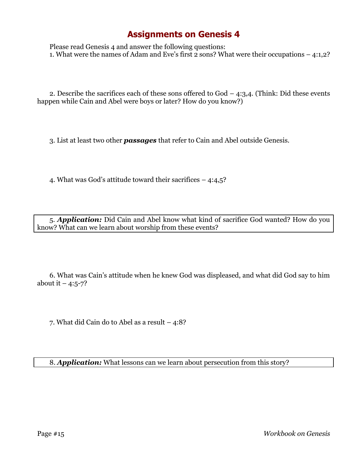Please read Genesis 4 and answer the following questions: 1. What were the names of Adam and Eve's first 2 sons? What were their occupations – 4:1,2?

2. Describe the sacrifices each of these sons offered to  $God - 4:3,4$ . (Think: Did these events happen while Cain and Abel were boys or later? How do you know?)

3. List at least two other *passages* that refer to Cain and Abel outside Genesis.

4. What was God's attitude toward their sacrifices – 4:4,5?

5. *Application:* Did Cain and Abel know what kind of sacrifice God wanted? How do you know? What can we learn about worship from these events?

6. What was Cain's attitude when he knew God was displeased, and what did God say to him about it  $-4:5-7$ ?

7. What did Cain do to Abel as a result – 4:8?

8. *Application:* What lessons can we learn about persecution from this story?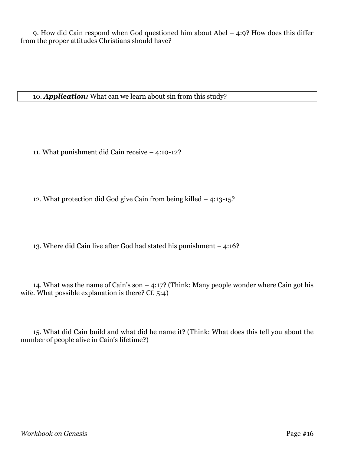9. How did Cain respond when God questioned him about Abel – 4:9? How does this differ from the proper attitudes Christians should have?

10. *Application:* What can we learn about sin from this study?

11. What punishment did Cain receive – 4:10-12?

12. What protection did God give Cain from being killed – 4:13-15?

13. Where did Cain live after God had stated his punishment – 4:16?

14. What was the name of Cain's son  $-$  4:17? (Think: Many people wonder where Cain got his wife. What possible explanation is there? Cf. 5:4)

15. What did Cain build and what did he name it? (Think: What does this tell you about the number of people alive in Cain's lifetime?)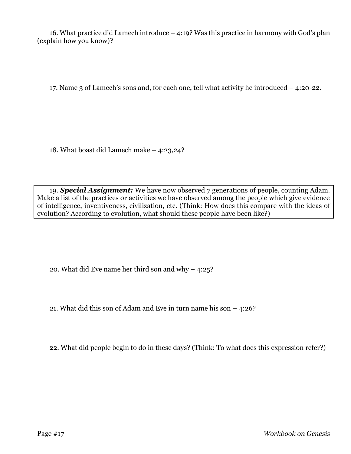16. What practice did Lamech introduce – 4:19? Was this practice in harmony with God's plan (explain how you know)?

17. Name 3 of Lamech's sons and, for each one, tell what activity he introduced – 4:20-22.

18. What boast did Lamech make – 4:23,24?

19. *Special Assignment:* We have now observed 7 generations of people, counting Adam. Make a list of the practices or activities we have observed among the people which give evidence of intelligence, inventiveness, civilization, etc. (Think: How does this compare with the ideas of evolution? According to evolution, what should these people have been like?)

20. What did Eve name her third son and why – 4:25?

21. What did this son of Adam and Eve in turn name his son – 4:26?

22. What did people begin to do in these days? (Think: To what does this expression refer?)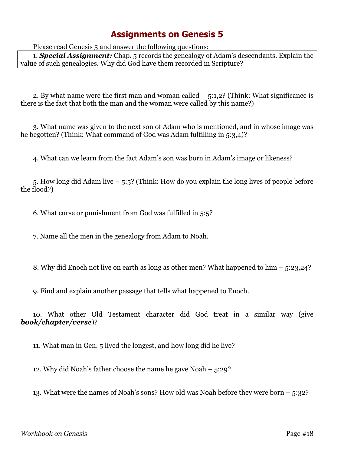Please read Genesis 5 and answer the following questions:

1. *Special Assignment:* Chap. 5 records the genealogy of Adam's descendants. Explain the value of such genealogies. Why did God have them recorded in Scripture?

2. By what name were the first man and woman called  $-$  5:1,2? (Think: What significance is there is the fact that both the man and the woman were called by this name?)

3. What name was given to the next son of Adam who is mentioned, and in whose image was he begotten? (Think: What command of God was Adam fulfilling in 5:3,4)?

4. What can we learn from the fact Adam's son was born in Adam's image or likeness?

5. How long did Adam live – 5:5? (Think: How do you explain the long lives of people before the flood?)

6. What curse or punishment from God was fulfilled in 5:5?

7. Name all the men in the genealogy from Adam to Noah.

8. Why did Enoch not live on earth as long as other men? What happened to him – 5:23,24?

9. Find and explain another passage that tells what happened to Enoch.

10. What other Old Testament character did God treat in a similar way (give *book/chapter/verse*)?

11. What man in Gen. 5 lived the longest, and how long did he live?

12. Why did Noah's father choose the name he gave Noah – 5:29?

13. What were the names of Noah's sons? How old was Noah before they were born – 5:32?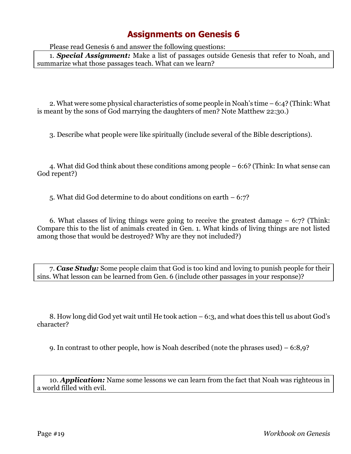Please read Genesis 6 and answer the following questions:

1. *Special Assignment:* Make a list of passages outside Genesis that refer to Noah, and summarize what those passages teach. What can we learn?

2. What were some physical characteristics of some people in Noah's time – 6:4? (Think: What is meant by the sons of God marrying the daughters of men? Note Matthew 22:30.)

3. Describe what people were like spiritually (include several of the Bible descriptions).

4. What did God think about these conditions among people – 6:6? (Think: In what sense can God repent?)

5. What did God determine to do about conditions on earth – 6:7?

6. What classes of living things were going to receive the greatest damage – 6:7? (Think: Compare this to the list of animals created in Gen. 1. What kinds of living things are not listed among those that would be destroyed? Why are they not included?)

7. *Case Study:* Some people claim that God is too kind and loving to punish people for their sins. What lesson can be learned from Gen. 6 (include other passages in your response)?

8. How long did God yet wait until He took action – 6:3, and what does this tell us about God's character?

9. In contrast to other people, how is Noah described (note the phrases used) – 6:8,9?

10. *Application:* Name some lessons we can learn from the fact that Noah was righteous in a world filled with evil.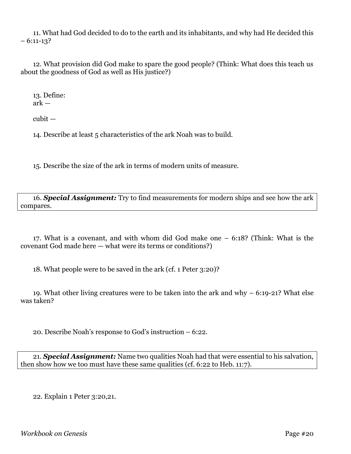11. What had God decided to do to the earth and its inhabitants, and why had He decided this  $-6:11-13?$ 

12. What provision did God make to spare the good people? (Think: What does this teach us about the goodness of God as well as His justice?)

13. Define: ark —

cubit —

14. Describe at least 5 characteristics of the ark Noah was to build.

15. Describe the size of the ark in terms of modern units of measure.

16. *Special Assignment:* Try to find measurements for modern ships and see how the ark compares.

17. What is a covenant, and with whom did God make one – 6:18? (Think: What is the covenant God made here — what were its terms or conditions?)

18. What people were to be saved in the ark (cf. 1 Peter 3:20)?

19. What other living creatures were to be taken into the ark and why – 6:19-21? What else was taken?

20. Describe Noah's response to God's instruction – 6:22.

21. *Special Assignment:* Name two qualities Noah had that were essential to his salvation, then show how we too must have these same qualities (cf. 6:22 to Heb. 11:7).

22. Explain 1 Peter 3:20,21.

*Workbook on Genesis* Page #20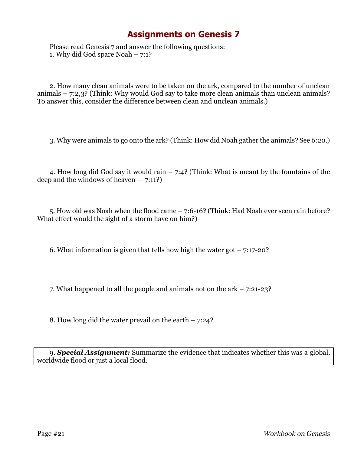Please read Genesis 7 and answer the following questions: 1. Why did God spare Noah – 7:1?

2. How many clean animals were to be taken on the ark, compared to the number of unclean animals – 7:2,3? (Think: Why would God say to take more clean animals than unclean animals? To answer this, consider the difference between clean and unclean animals.)

3. Why were animals to go onto the ark? (Think: How did Noah gather the animals? See 6:20.)

4. How long did God say it would rain – 7:4? (Think: What is meant by the fountains of the deep and the windows of heaven  $-7:11$ ?

5. How old was Noah when the flood came – 7:6-16? (Think: Had Noah ever seen rain before? What effect would the sight of a storm have on him?)

6. What information is given that tells how high the water got  $-7:17-20$ ?

7. What happened to all the people and animals not on the ark – 7:21-23?

8. How long did the water prevail on the earth  $-7:24$ ?

9. *Special Assignment:* Summarize the evidence that indicates whether this was a global, worldwide flood or just a local flood.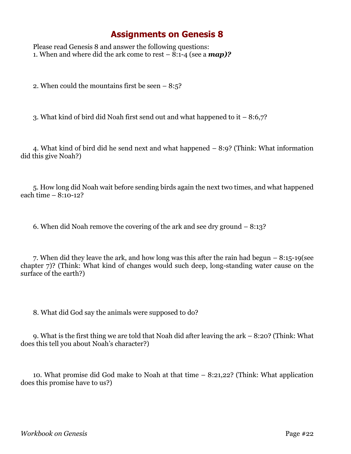Please read Genesis 8 and answer the following questions: 1. When and where did the ark come to rest – 8:1-4 (see a *map)?*

2. When could the mountains first be seen  $-8:5$ ?

3. What kind of bird did Noah first send out and what happened to it – 8:6,7?

4. What kind of bird did he send next and what happened – 8:9? (Think: What information did this give Noah?)

5. How long did Noah wait before sending birds again the next two times, and what happened each time – 8:10-12?

6. When did Noah remove the covering of the ark and see dry ground – 8:13?

7. When did they leave the ark, and how long was this after the rain had begun – 8:15-19(see chapter 7)? (Think: What kind of changes would such deep, long-standing water cause on the surface of the earth?)

8. What did God say the animals were supposed to do?

9. What is the first thing we are told that Noah did after leaving the ark – 8:20? (Think: What does this tell you about Noah's character?)

10. What promise did God make to Noah at that time – 8:21,22? (Think: What application does this promise have to us?)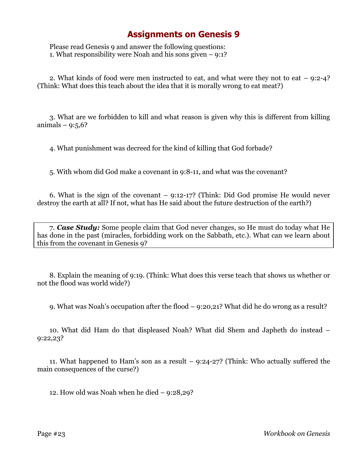Please read Genesis 9 and answer the following questions: 1. What responsibility were Noah and his sons given – 9:1?

2. What kinds of food were men instructed to eat, and what were they not to eat – 9:2-4? (Think: What does this teach about the idea that it is morally wrong to eat meat?)

3. What are we forbidden to kill and what reason is given why this is different from killing animals  $-$  9:5,6?

4. What punishment was decreed for the kind of killing that God forbade?

5. With whom did God make a covenant in 9:8-11, and what was the covenant?

6. What is the sign of the covenant – 9:12-17? (Think: Did God promise He would never destroy the earth at all? If not, what has He said about the future destruction of the earth?)

7. *Case Study:* Some people claim that God never changes, so He must do today what He has done in the past (miracles, forbidding work on the Sabbath, etc.). What can we learn about this from the covenant in Genesis 9?

8. Explain the meaning of 9:19. (Think: What does this verse teach that shows us whether or not the flood was world wide?)

9. What was Noah's occupation after the flood – 9:20,21? What did he do wrong as a result?

10. What did Ham do that displeased Noah? What did Shem and Japheth do instead – 9:22,23?

11. What happened to Ham's son as a result – 9:24-27? (Think: Who actually suffered the main consequences of the curse?)

12. How old was Noah when he died – 9:28,29?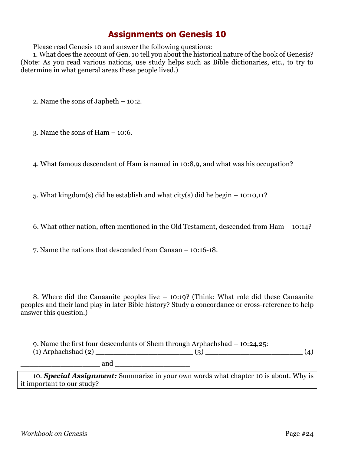Please read Genesis 10 and answer the following questions:

1. What does the account of Gen. 10 tell you about the historical nature of the book of Genesis? (Note: As you read various nations, use study helps such as Bible dictionaries, etc., to try to determine in what general areas these people lived.)

2. Name the sons of Japheth – 10:2.

3. Name the sons of Ham – 10:6.

4. What famous descendant of Ham is named in 10:8,9, and what was his occupation?

5. What kingdom(s) did he establish and what city(s) did he begin – 10:10,11?

6. What other nation, often mentioned in the Old Testament, descended from Ham – 10:14?

7. Name the nations that descended from Canaan – 10:16-18.

8. Where did the Canaanite peoples live – 10:19? (Think: What role did these Canaanite peoples and their land play in later Bible history? Study a concordance or cross-reference to help answer this question.)

9. Name the first four descendants of Shem through Arphachshad – 10:24,25: (1) Arphachshad (2) \_\_\_\_\_\_\_\_\_\_\_\_\_\_\_\_\_\_\_\_\_\_ (3) \_\_\_\_\_\_\_\_\_\_\_\_\_\_\_\_\_\_\_\_\_\_ (4)

and

10. *Special Assignment:* Summarize in your own words what chapter 10 is about. Why is it important to our study?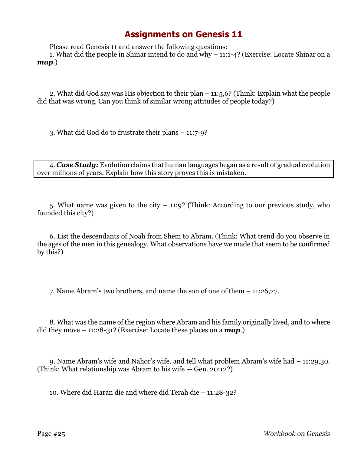Please read Genesis 11 and answer the following questions:

1. What did the people in Shinar intend to do and why – 11:1-4? (Exercise: Locate Shinar on a *map*.)

2. What did God say was His objection to their plan – 11:5,6? (Think: Explain what the people did that was wrong. Can you think of similar wrong attitudes of people today?)

3. What did God do to frustrate their plans – 11:7-9?

4. *Case Study:* Evolution claims that human languages began as a result of gradual evolution over millions of years. Explain how this story proves this is mistaken.

5. What name was given to the city – 11:9? (Think: According to our previous study, who founded this city?)

6. List the descendants of Noah from Shem to Abram. (Think: What trend do you observe in the ages of the men in this genealogy. What observations have we made that seem to be confirmed by this?)

7. Name Abram's two brothers, and name the son of one of them – 11:26,27.

8. What was the name of the region where Abram and his family originally lived, and to where did they move – 11:28-31? (Exercise: Locate these places on a *map*.)

9. Name Abram's wife and Nahor's wife, and tell what problem Abram's wife had – 11:29,30. (Think: What relationship was Abram to his wife — Gen. 20:12?)

10. Where did Haran die and where did Terah die – 11:28-32?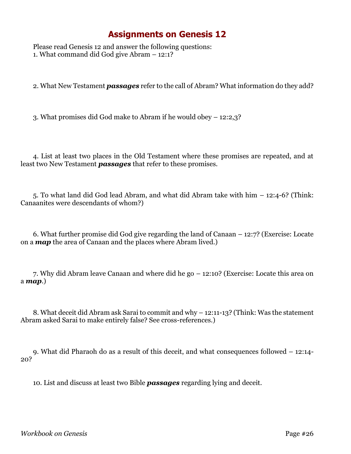Please read Genesis 12 and answer the following questions: 1. What command did God give Abram – 12:1?

2. What New Testament *passages* refer to the call of Abram? What information do they add?

3. What promises did God make to Abram if he would obey – 12:2,3?

4. List at least two places in the Old Testament where these promises are repeated, and at least two New Testament *passages* that refer to these promises.

5. To what land did God lead Abram, and what did Abram take with him – 12:4-6? (Think: Canaanites were descendants of whom?)

6. What further promise did God give regarding the land of Canaan – 12:7? (Exercise: Locate on a *map* the area of Canaan and the places where Abram lived.)

7. Why did Abram leave Canaan and where did he go – 12:10? (Exercise: Locate this area on a *map*.)

8. What deceit did Abram ask Sarai to commit and why – 12:11-13? (Think: Was the statement Abram asked Sarai to make entirely false? See cross-references.)

9. What did Pharaoh do as a result of this deceit, and what consequences followed – 12:14- 20?

10. List and discuss at least two Bible *passages* regarding lying and deceit.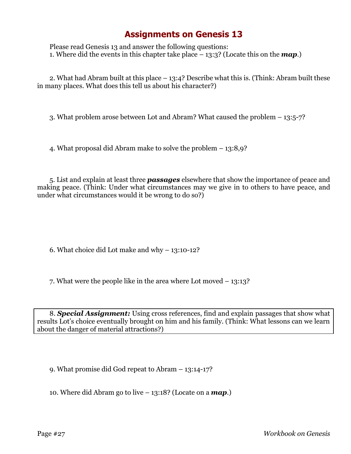Please read Genesis 13 and answer the following questions: 1. Where did the events in this chapter take place – 13:3? (Locate this on the *map*.)

2. What had Abram built at this place – 13:4? Describe what this is. (Think: Abram built these in many places. What does this tell us about his character?)

3. What problem arose between Lot and Abram? What caused the problem – 13:5-7?

4. What proposal did Abram make to solve the problem – 13:8,9?

5. List and explain at least three *passages* elsewhere that show the importance of peace and making peace. (Think: Under what circumstances may we give in to others to have peace, and under what circumstances would it be wrong to do so?)

6. What choice did Lot make and why – 13:10-12?

7. What were the people like in the area where Lot moved – 13:13?

8. *Special Assignment:* Using cross references, find and explain passages that show what results Lot's choice eventually brought on him and his family. (Think: What lessons can we learn about the danger of material attractions?)

9. What promise did God repeat to Abram – 13:14-17?

10. Where did Abram go to live – 13:18? (Locate on a *map*.)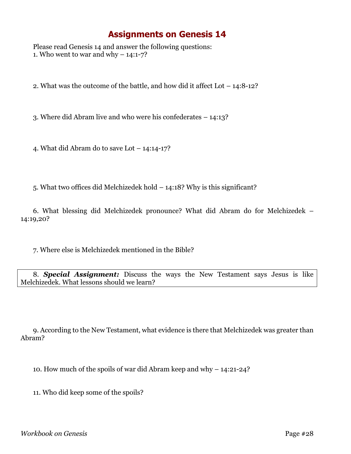Please read Genesis 14 and answer the following questions: 1. Who went to war and why  $-14:1-7?$ 

2. What was the outcome of the battle, and how did it affect Lot – 14:8-12?

3. Where did Abram live and who were his confederates – 14:13?

4. What did Abram do to save Lot – 14:14-17?

5. What two offices did Melchizedek hold – 14:18? Why is this significant?

6. What blessing did Melchizedek pronounce? What did Abram do for Melchizedek – 14:19,20?

7. Where else is Melchizedek mentioned in the Bible?

8. *Special Assignment:* Discuss the ways the New Testament says Jesus is like Melchizedek. What lessons should we learn?

9. According to the New Testament, what evidence is there that Melchizedek was greater than Abram?

10. How much of the spoils of war did Abram keep and why – 14:21-24?

11. Who did keep some of the spoils?

*Workbook on Genesis* Page #28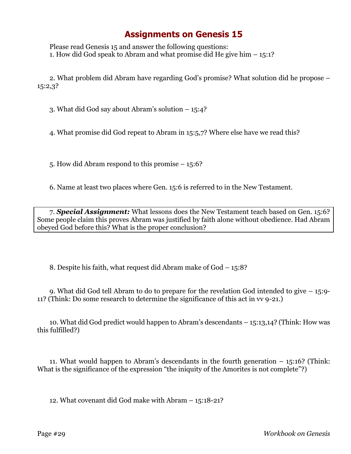Please read Genesis 15 and answer the following questions: 1. How did God speak to Abram and what promise did He give him – 15:1?

2. What problem did Abram have regarding God's promise? What solution did he propose – 15:2,3?

3. What did God say about Abram's solution – 15:4?

4. What promise did God repeat to Abram in 15:5,7? Where else have we read this?

5. How did Abram respond to this promise – 15:6?

6. Name at least two places where Gen. 15:6 is referred to in the New Testament.

7. *Special Assignment:* What lessons does the New Testament teach based on Gen. 15:6? Some people claim this proves Abram was justified by faith alone without obedience. Had Abram obeyed God before this? What is the proper conclusion?

8. Despite his faith, what request did Abram make of God – 15:8?

9. What did God tell Abram to do to prepare for the revelation God intended to give – 15:9- 11? (Think: Do some research to determine the significance of this act in vv 9-21.)

10. What did God predict would happen to Abram's descendants – 15:13,14? (Think: How was this fulfilled?)

11. What would happen to Abram's descendants in the fourth generation – 15:16? (Think: What is the significance of the expression "the iniquity of the Amorites is not complete"?)

12. What covenant did God make with Abram – 15:18-21?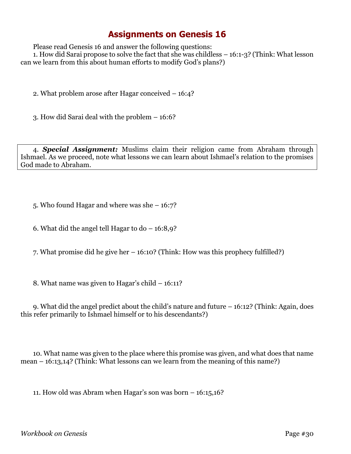Please read Genesis 16 and answer the following questions:

1. How did Sarai propose to solve the fact that she was childless – 16:1-3? (Think: What lesson can we learn from this about human efforts to modify God's plans?)

2. What problem arose after Hagar conceived – 16:4?

3. How did Sarai deal with the problem – 16:6?

4. *Special Assignment:* Muslims claim their religion came from Abraham through Ishmael. As we proceed, note what lessons we can learn about Ishmael's relation to the promises God made to Abraham.

5. Who found Hagar and where was she – 16:7?

6. What did the angel tell Hagar to  $do - 16:8,9$ ?

7. What promise did he give her – 16:10? (Think: How was this prophecy fulfilled?)

8. What name was given to Hagar's child – 16:11?

9. What did the angel predict about the child's nature and future – 16:12? (Think: Again, does this refer primarily to Ishmael himself or to his descendants?)

10. What name was given to the place where this promise was given, and what does that name mean – 16:13,14? (Think: What lessons can we learn from the meaning of this name?)

11. How old was Abram when Hagar's son was born – 16:15,16?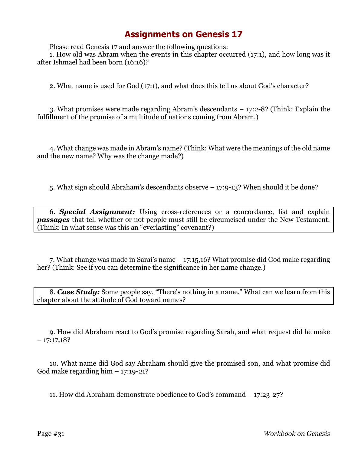Please read Genesis 17 and answer the following questions:

1. How old was Abram when the events in this chapter occurred (17:1), and how long was it after Ishmael had been born (16:16)?

2. What name is used for God (17:1), and what does this tell us about God's character?

3. What promises were made regarding Abram's descendants – 17:2-8? (Think: Explain the fulfillment of the promise of a multitude of nations coming from Abram.)

4. What change was made in Abram's name? (Think: What were the meanings of the old name and the new name? Why was the change made?)

5. What sign should Abraham's descendants observe – 17:9-13? When should it be done?

6. *Special Assignment:* Using cross-references or a concordance, list and explain *passages* that tell whether or not people must still be circumcised under the New Testament. (Think: In what sense was this an "everlasting" covenant?)

7. What change was made in Sarai's name – 17:15,16? What promise did God make regarding her? (Think: See if you can determine the significance in her name change.)

8. *Case Study:* Some people say, "There's nothing in a name." What can we learn from this chapter about the attitude of God toward names?

9. How did Abraham react to God's promise regarding Sarah, and what request did he make  $-17:17,18?$ 

10. What name did God say Abraham should give the promised son, and what promise did God make regarding him  $-17:19-21$ ?

11. How did Abraham demonstrate obedience to God's command – 17:23-27?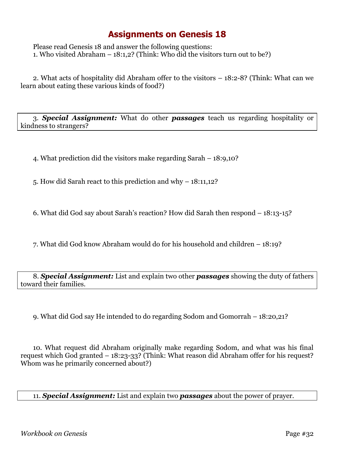Please read Genesis 18 and answer the following questions: 1. Who visited Abraham – 18:1,2? (Think: Who did the visitors turn out to be?)

2. What acts of hospitality did Abraham offer to the visitors – 18:2-8? (Think: What can we learn about eating these various kinds of food?)

3. *Special Assignment:* What do other *passages* teach us regarding hospitality or kindness to strangers?

4. What prediction did the visitors make regarding Sarah – 18:9,10?

5. How did Sarah react to this prediction and why – 18:11,12?

6. What did God say about Sarah's reaction? How did Sarah then respond – 18:13-15?

7. What did God know Abraham would do for his household and children – 18:19?

8. *Special Assignment:* List and explain two other *passages* showing the duty of fathers toward their families.

9. What did God say He intended to do regarding Sodom and Gomorrah – 18:20,21?

10. What request did Abraham originally make regarding Sodom, and what was his final request which God granted – 18:23-33? (Think: What reason did Abraham offer for his request? Whom was he primarily concerned about?)

11. *Special Assignment:* List and explain two *passages* about the power of prayer.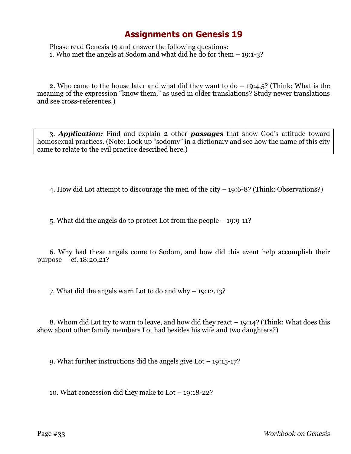Please read Genesis 19 and answer the following questions: 1. Who met the angels at Sodom and what did he do for them – 19:1-3?

2. Who came to the house later and what did they want to  $d_0 - 19:4,5$ ? (Think: What is the meaning of the expression "know them," as used in older translations? Study newer translations and see cross-references.)

3. *Application:* Find and explain 2 other *passages* that show God's attitude toward homosexual practices. (Note: Look up "sodomy" in a dictionary and see how the name of this city came to relate to the evil practice described here.)

4. How did Lot attempt to discourage the men of the city – 19:6-8? (Think: Observations?)

5. What did the angels do to protect Lot from the people – 19:9-11?

6. Why had these angels come to Sodom, and how did this event help accomplish their purpose — cf. 18:20,21?

7. What did the angels warn Lot to do and why – 19:12,13?

8. Whom did Lot try to warn to leave, and how did they react – 19:14? (Think: What does this show about other family members Lot had besides his wife and two daughters?)

9. What further instructions did the angels give Lot – 19:15-17?

10. What concession did they make to Lot – 19:18-22?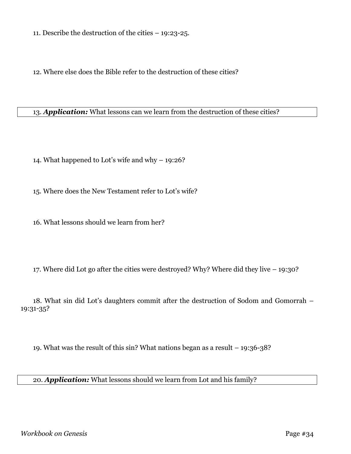11. Describe the destruction of the cities – 19:23-25.

12. Where else does the Bible refer to the destruction of these cities?

#### 13. *Application:* What lessons can we learn from the destruction of these cities?

14. What happened to Lot's wife and why – 19:26?

15. Where does the New Testament refer to Lot's wife?

16. What lessons should we learn from her?

17. Where did Lot go after the cities were destroyed? Why? Where did they live – 19:30?

18. What sin did Lot's daughters commit after the destruction of Sodom and Gomorrah – 19:31-35?

19. What was the result of this sin? What nations began as a result – 19:36-38?

#### 20. *Application:* What lessons should we learn from Lot and his family?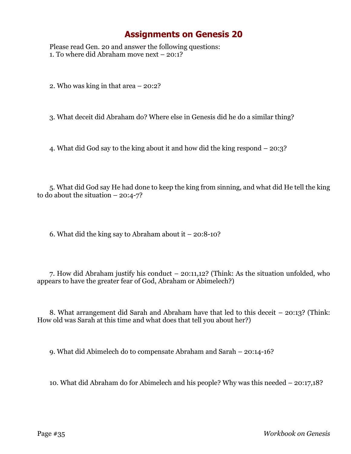Please read Gen. 20 and answer the following questions: 1. To where did Abraham move next – 20:1?

2. Who was king in that area – 20:2?

3. What deceit did Abraham do? Where else in Genesis did he do a similar thing?

4. What did God say to the king about it and how did the king respond – 20:3?

5. What did God say He had done to keep the king from sinning, and what did He tell the king to do about the situation  $-20:4-7$ ?

6. What did the king say to Abraham about it – 20:8-10?

7. How did Abraham justify his conduct – 20:11,12? (Think: As the situation unfolded, who appears to have the greater fear of God, Abraham or Abimelech?)

8. What arrangement did Sarah and Abraham have that led to this deceit – 20:13? (Think: How old was Sarah at this time and what does that tell you about her?)

9. What did Abimelech do to compensate Abraham and Sarah – 20:14-16?

10. What did Abraham do for Abimelech and his people? Why was this needed – 20:17,18?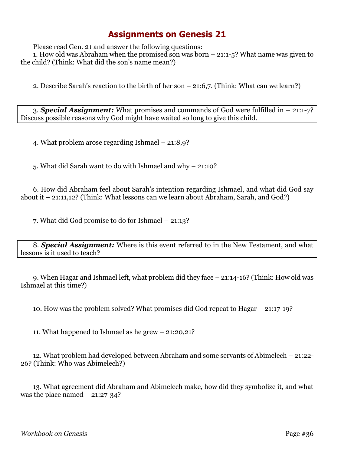Please read Gen. 21 and answer the following questions:

1. How old was Abraham when the promised son was born – 21:1-5? What name was given to the child? (Think: What did the son's name mean?)

2. Describe Sarah's reaction to the birth of her son – 21:6,7. (Think: What can we learn?)

3. *Special Assignment:* What promises and commands of God were fulfilled in – 21:1-7? Discuss possible reasons why God might have waited so long to give this child.

4. What problem arose regarding Ishmael – 21:8,9?

5. What did Sarah want to do with Ishmael and why – 21:10?

6. How did Abraham feel about Sarah's intention regarding Ishmael, and what did God say about it – 21:11,12? (Think: What lessons can we learn about Abraham, Sarah, and God?)

7. What did God promise to do for Ishmael – 21:13?

8. *Special Assignment:* Where is this event referred to in the New Testament, and what lessons is it used to teach?

9. When Hagar and Ishmael left, what problem did they face – 21:14-16? (Think: How old was Ishmael at this time?)

10. How was the problem solved? What promises did God repeat to Hagar – 21:17-19?

11. What happened to Ishmael as he grew – 21:20,21?

12. What problem had developed between Abraham and some servants of Abimelech – 21:22- 26? (Think: Who was Abimelech?)

13. What agreement did Abraham and Abimelech make, how did they symbolize it, and what was the place named  $-21:27-34$ ?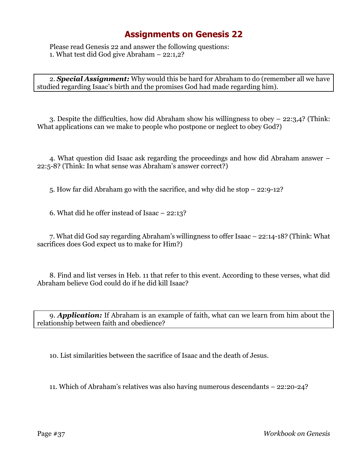Please read Genesis 22 and answer the following questions: 1. What test did God give Abraham – 22:1,2?

2. *Special Assignment:* Why would this be hard for Abraham to do (remember all we have studied regarding Isaac's birth and the promises God had made regarding him).

3. Despite the difficulties, how did Abraham show his willingness to obey – 22:3,4? (Think: What applications can we make to people who postpone or neglect to obey God?)

4. What question did Isaac ask regarding the proceedings and how did Abraham answer – 22:5-8? (Think: In what sense was Abraham's answer correct?)

5. How far did Abraham go with the sacrifice, and why did he stop – 22:9-12?

6. What did he offer instead of Isaac – 22:13?

7. What did God say regarding Abraham's willingness to offer Isaac – 22:14-18? (Think: What sacrifices does God expect us to make for Him?)

8. Find and list verses in Heb. 11 that refer to this event. According to these verses, what did Abraham believe God could do if he did kill Isaac?

9. *Application:* If Abraham is an example of faith, what can we learn from him about the relationship between faith and obedience?

10. List similarities between the sacrifice of Isaac and the death of Jesus.

11. Which of Abraham's relatives was also having numerous descendants – 22:20-24?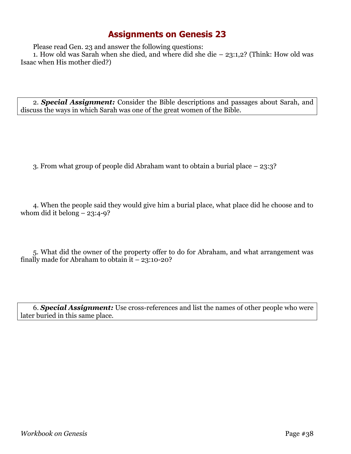Please read Gen. 23 and answer the following questions:

1. How old was Sarah when she died, and where did she die – 23:1,2? (Think: How old was Isaac when His mother died?)

2. *Special Assignment:* Consider the Bible descriptions and passages about Sarah, and discuss the ways in which Sarah was one of the great women of the Bible.

3. From what group of people did Abraham want to obtain a burial place – 23:3?

4. When the people said they would give him a burial place, what place did he choose and to whom did it belong  $-23:4-9$ ?

5. What did the owner of the property offer to do for Abraham, and what arrangement was finally made for Abraham to obtain it  $-23:10-20$ ?

6. *Special Assignment:* Use cross-references and list the names of other people who were later buried in this same place.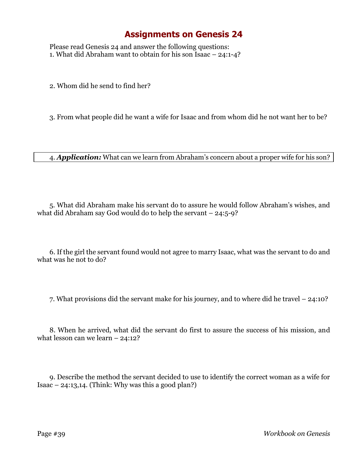Please read Genesis 24 and answer the following questions: 1. What did Abraham want to obtain for his son Isaac – 24:1-4?

2. Whom did he send to find her?

3. From what people did he want a wife for Isaac and from whom did he not want her to be?

4. *Application:* What can we learn from Abraham's concern about a proper wife for his son?

5. What did Abraham make his servant do to assure he would follow Abraham's wishes, and what did Abraham say God would do to help the servant  $-24:5-9$ ?

6. If the girl the servant found would not agree to marry Isaac, what was the servant to do and what was he not to do?

7. What provisions did the servant make for his journey, and to where did he travel – 24:10?

8. When he arrived, what did the servant do first to assure the success of his mission, and what lesson can we learn – 24:12?

9. Describe the method the servant decided to use to identify the correct woman as a wife for Isaac  $-24:13,14$ . (Think: Why was this a good plan?)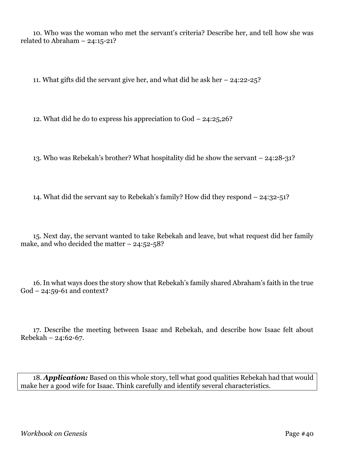10. Who was the woman who met the servant's criteria? Describe her, and tell how she was related to Abraham – 24:15-21?

11. What gifts did the servant give her, and what did he ask her – 24:22-25?

12. What did he do to express his appreciation to God – 24:25,26?

13. Who was Rebekah's brother? What hospitality did he show the servant – 24:28-31?

14. What did the servant say to Rebekah's family? How did they respond – 24:32-51?

15. Next day, the servant wanted to take Rebekah and leave, but what request did her family make, and who decided the matter  $-24:52-58$ ?

16. In what ways does the story show that Rebekah's family shared Abraham's faith in the true God – 24:59-61 and context?

17. Describe the meeting between Isaac and Rebekah, and describe how Isaac felt about Rebekah – 24:62-67.

18. *Application:* Based on this whole story, tell what good qualities Rebekah had that would make her a good wife for Isaac. Think carefully and identify several characteristics.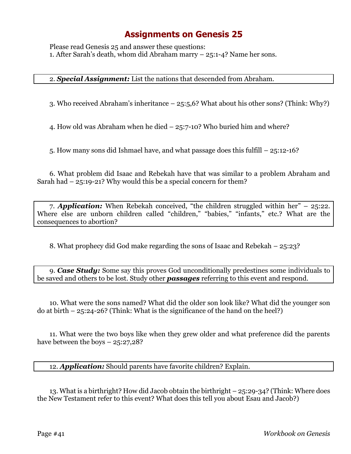Please read Genesis 25 and answer these questions: 1. After Sarah's death, whom did Abraham marry – 25:1-4? Name her sons.

#### 2. *Special Assignment:* List the nations that descended from Abraham.

3. Who received Abraham's inheritance – 25:5,6? What about his other sons? (Think: Why?)

4. How old was Abraham when he died – 25:7-10? Who buried him and where?

5. How many sons did Ishmael have, and what passage does this fulfill – 25:12-16?

6. What problem did Isaac and Rebekah have that was similar to a problem Abraham and Sarah had – 25:19-21? Why would this be a special concern for them?

7. *Application:* When Rebekah conceived, "the children struggled within her" – 25:22. Where else are unborn children called "children," "babies," "infants," etc.? What are the consequences to abortion?

8. What prophecy did God make regarding the sons of Isaac and Rebekah – 25:23?

9. *Case Study:* Some say this proves God unconditionally predestines some individuals to be saved and others to be lost. Study other *passages* referring to this event and respond.

10. What were the sons named? What did the older son look like? What did the younger son do at birth  $-25:24-26$ ? (Think: What is the significance of the hand on the heel?)

11. What were the two boys like when they grew older and what preference did the parents have between the boys  $-25:27,28$ ?

12. *Application:* Should parents have favorite children? Explain.

13. What is a birthright? How did Jacob obtain the birthright – 25:29-34? (Think: Where does the New Testament refer to this event? What does this tell you about Esau and Jacob?)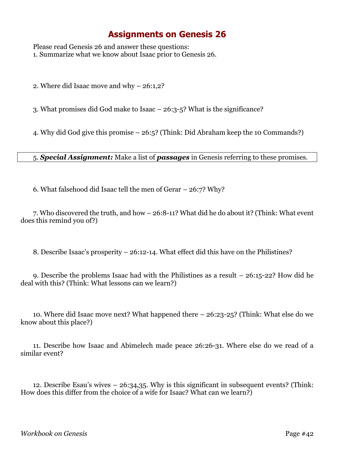Please read Genesis 26 and answer these questions: 1. Summarize what we know about Isaac prior to Genesis 26.

2. Where did Isaac move and why – 26:1,2?

3. What promises did God make to Isaac – 26:3-5? What is the significance?

4. Why did God give this promise – 26:5? (Think: Did Abraham keep the 10 Commands?)

5. *Special Assignment:* Make a list of *passages* in Genesis referring to these promises.

6. What falsehood did Isaac tell the men of Gerar – 26:7? Why?

7. Who discovered the truth, and how – 26:8-11? What did he do about it? (Think: What event does this remind you of?)

8. Describe Isaac's prosperity – 26:12-14. What effect did this have on the Philistines?

9. Describe the problems Isaac had with the Philistines as a result – 26:15-22? How did he deal with this? (Think: What lessons can we learn?)

10. Where did Isaac move next? What happened there – 26:23-25? (Think: What else do we know about this place?)

11. Describe how Isaac and Abimelech made peace 26:26-31. Where else do we read of a similar event?

12. Describe Esau's wives – 26:34,35. Why is this significant in subsequent events? (Think: How does this differ from the choice of a wife for Isaac? What can we learn?)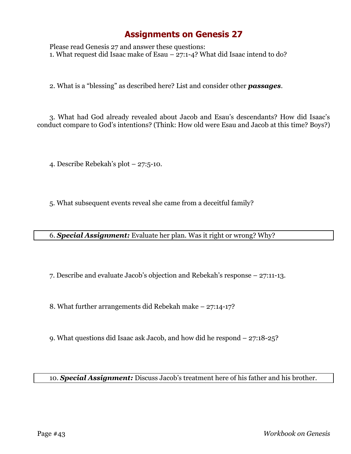Please read Genesis 27 and answer these questions: 1. What request did Isaac make of Esau – 27:1-4? What did Isaac intend to do?

2. What is a "blessing" as described here? List and consider other *passages*.

3. What had God already revealed about Jacob and Esau's descendants? How did Isaac's conduct compare to God's intentions? (Think: How old were Esau and Jacob at this time? Boys?)

4. Describe Rebekah's plot – 27:5-10.

5. What subsequent events reveal she came from a deceitful family?

6. *Special Assignment:* Evaluate her plan. Was it right or wrong? Why?

7. Describe and evaluate Jacob's objection and Rebekah's response – 27:11-13.

8. What further arrangements did Rebekah make – 27:14-17?

9. What questions did Isaac ask Jacob, and how did he respond – 27:18-25?

10. *Special Assignment:* Discuss Jacob's treatment here of his father and his brother.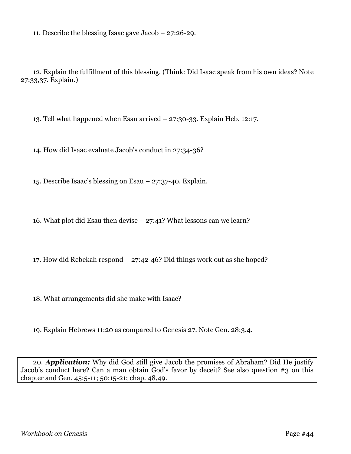11. Describe the blessing Isaac gave Jacob – 27:26-29.

12. Explain the fulfillment of this blessing. (Think: Did Isaac speak from his own ideas? Note 27:33,37. Explain.)

13. Tell what happened when Esau arrived – 27:30-33. Explain Heb. 12:17.

14. How did Isaac evaluate Jacob's conduct in 27:34-36?

15. Describe Isaac's blessing on Esau – 27:37-40. Explain.

16. What plot did Esau then devise – 27:41? What lessons can we learn?

17. How did Rebekah respond – 27:42-46? Did things work out as she hoped?

18. What arrangements did she make with Isaac?

19. Explain Hebrews 11:20 as compared to Genesis 27. Note Gen. 28:3,4.

20. *Application:* Why did God still give Jacob the promises of Abraham? Did He justify Jacob's conduct here? Can a man obtain God's favor by deceit? See also question #3 on this chapter and Gen. 45:5-11; 50:15-21; chap. 48,49.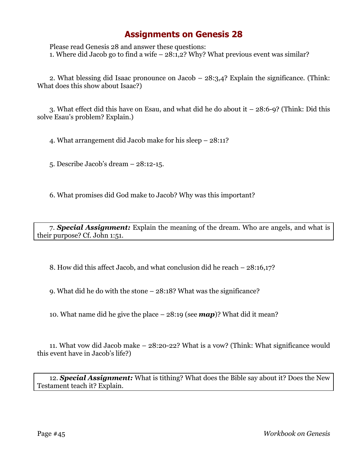Please read Genesis 28 and answer these questions: 1. Where did Jacob go to find a wife – 28:1,2? Why? What previous event was similar?

2. What blessing did Isaac pronounce on Jacob – 28:3,4? Explain the significance. (Think: What does this show about Isaac?)

3. What effect did this have on Esau, and what did he do about it – 28:6-9? (Think: Did this solve Esau's problem? Explain.)

4. What arrangement did Jacob make for his sleep – 28:11?

5. Describe Jacob's dream – 28:12-15.

6. What promises did God make to Jacob? Why was this important?

7. *Special Assignment:* Explain the meaning of the dream. Who are angels, and what is their purpose? Cf. John 1:51.

8. How did this affect Jacob, and what conclusion did he reach – 28:16,17?

9. What did he do with the stone – 28:18? What was the significance?

10. What name did he give the place – 28:19 (see *map*)? What did it mean?

11. What vow did Jacob make – 28:20-22? What is a vow? (Think: What significance would this event have in Jacob's life?)

12. *Special Assignment:* What is tithing? What does the Bible say about it? Does the New Testament teach it? Explain.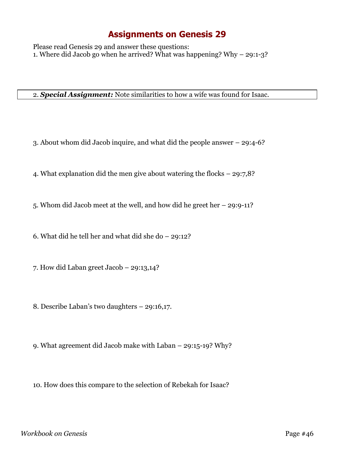Please read Genesis 29 and answer these questions: 1. Where did Jacob go when he arrived? What was happening? Why  $-$  29:1-3?

2. *Special Assignment:* Note similarities to how a wife was found for Isaac.

- 3. About whom did Jacob inquire, and what did the people answer 29:4-6?
- 4. What explanation did the men give about watering the flocks 29:7,8?
- 5. Whom did Jacob meet at the well, and how did he greet her 29:9-11?

6. What did he tell her and what did she do – 29:12?

- 7. How did Laban greet Jacob 29:13,14?
- 8. Describe Laban's two daughters 29:16,17.
- 9. What agreement did Jacob make with Laban 29:15-19? Why?

10. How does this compare to the selection of Rebekah for Isaac?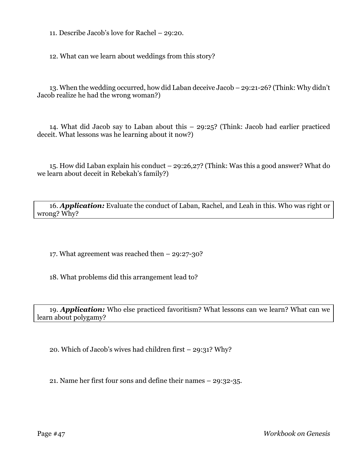11. Describe Jacob's love for Rachel – 29:20.

12. What can we learn about weddings from this story?

13. When the wedding occurred, how did Laban deceive Jacob – 29:21-26? (Think: Why didn't Jacob realize he had the wrong woman?)

14. What did Jacob say to Laban about this – 29:25? (Think: Jacob had earlier practiced deceit. What lessons was he learning about it now?)

15. How did Laban explain his conduct – 29:26,27? (Think: Was this a good answer? What do we learn about deceit in Rebekah's family?)

16. *Application:* Evaluate the conduct of Laban, Rachel, and Leah in this. Who was right or wrong? Why?

17. What agreement was reached then – 29:27-30?

18. What problems did this arrangement lead to?

19. *Application:* Who else practiced favoritism? What lessons can we learn? What can we learn about polygamy?

20. Which of Jacob's wives had children first – 29:31? Why?

21. Name her first four sons and define their names – 29:32-35.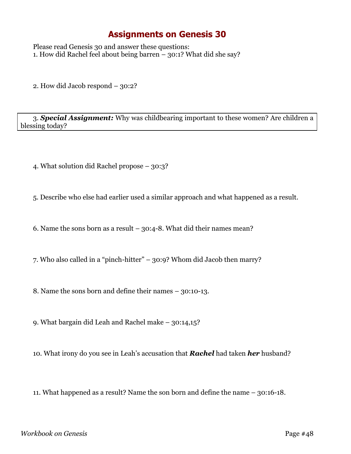Please read Genesis 30 and answer these questions: 1. How did Rachel feel about being barren – 30:1? What did she say?

2. How did Jacob respond – 30:2?

3. *Special Assignment:* Why was childbearing important to these women? Are children a blessing today?

4. What solution did Rachel propose – 30:3?

5. Describe who else had earlier used a similar approach and what happened as a result.

6. Name the sons born as a result  $-30:4-8$ . What did their names mean?

7. Who also called in a "pinch-hitter" – 30:9? Whom did Jacob then marry?

8. Name the sons born and define their names – 30:10-13.

9. What bargain did Leah and Rachel make – 30:14,15?

10. What irony do you see in Leah's accusation that *Rachel* had taken *her* husband?

11. What happened as a result? Name the son born and define the name – 30:16-18.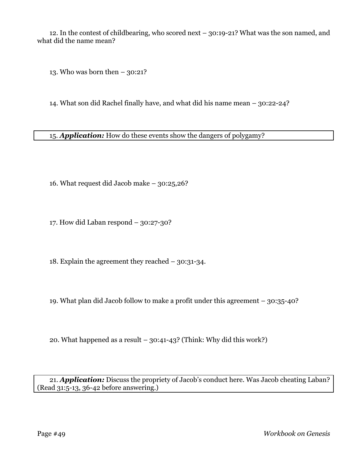12. In the contest of childbearing, who scored next – 30:19-21? What was the son named, and what did the name mean?

13. Who was born then  $-30:21?$ 

14. What son did Rachel finally have, and what did his name mean – 30:22-24?

15. *Application:* How do these events show the dangers of polygamy?

16. What request did Jacob make – 30:25,26?

17. How did Laban respond – 30:27-30?

18. Explain the agreement they reached – 30:31-34.

19. What plan did Jacob follow to make a profit under this agreement – 30:35-40?

20. What happened as a result – 30:41-43? (Think: Why did this work?)

21. *Application:* Discuss the propriety of Jacob's conduct here. Was Jacob cheating Laban? (Read 31:5-13, 36-42 before answering.)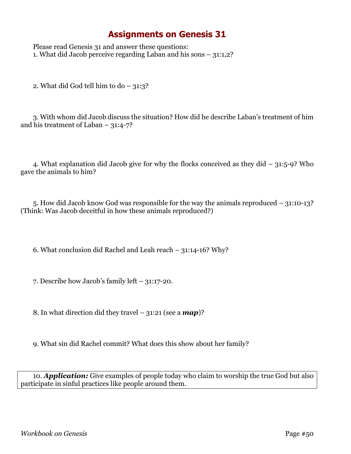Please read Genesis 31 and answer these questions: 1. What did Jacob perceive regarding Laban and his sons – 31:1,2?

2. What did God tell him to do  $-31:3$ ?

3. With whom did Jacob discuss the situation? How did he describe Laban's treatment of him and his treatment of Laban  $-31:4-7?$ 

4. What explanation did Jacob give for why the flocks conceived as they did – 31:5-9? Who gave the animals to him?

5. How did Jacob know God was responsible for the way the animals reproduced – 31:10-13? (Think: Was Jacob deceitful in how these animals reproduced?)

6. What conclusion did Rachel and Leah reach – 31:14-16? Why?

7. Describe how Jacob's family left – 31:17-20.

8. In what direction did they travel – 31:21 (see a *map*)?

9. What sin did Rachel commit? What does this show about her family?

10. *Application:* Give examples of people today who claim to worship the true God but also participate in sinful practices like people around them.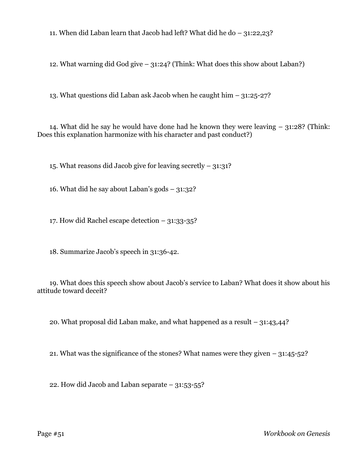11. When did Laban learn that Jacob had left? What did he do – 31:22,23?

12. What warning did God give – 31:24? (Think: What does this show about Laban?)

13. What questions did Laban ask Jacob when he caught him – 31:25-27?

14. What did he say he would have done had he known they were leaving – 31:28? (Think: Does this explanation harmonize with his character and past conduct?)

15. What reasons did Jacob give for leaving secretly – 31:31?

16. What did he say about Laban's gods – 31:32?

17. How did Rachel escape detection – 31:33-35?

18. Summarize Jacob's speech in 31:36-42.

19. What does this speech show about Jacob's service to Laban? What does it show about his attitude toward deceit?

20. What proposal did Laban make, and what happened as a result – 31:43,44?

21. What was the significance of the stones? What names were they given  $-31:45-52$ ?

22. How did Jacob and Laban separate – 31:53-55?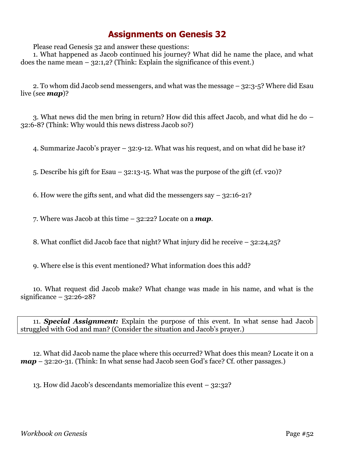Please read Genesis 32 and answer these questions:

1. What happened as Jacob continued his journey? What did he name the place, and what does the name mean  $-$  32:1,2? (Think: Explain the significance of this event.)

2. To whom did Jacob send messengers, and what was the message – 32:3-5? Where did Esau live (see *map*)?

3. What news did the men bring in return? How did this affect Jacob, and what did he do – 32:6-8? (Think: Why would this news distress Jacob so?)

4. Summarize Jacob's prayer – 32:9-12. What was his request, and on what did he base it?

5. Describe his gift for Esau – 32:13-15. What was the purpose of the gift (cf. v20)?

6. How were the gifts sent, and what did the messengers say  $-32:16-21$ ?

7. Where was Jacob at this time – 32:22? Locate on a *map*.

8. What conflict did Jacob face that night? What injury did he receive – 32:24,25?

9. Where else is this event mentioned? What information does this add?

10. What request did Jacob make? What change was made in his name, and what is the significance  $-32:26-28?$ 

11. *Special Assignment:* Explain the purpose of this event. In what sense had Jacob struggled with God and man? (Consider the situation and Jacob's prayer.)

12. What did Jacob name the place where this occurred? What does this mean? Locate it on a *map* – 32:20-31. (Think: In what sense had Jacob seen God's face? Cf. other passages.)

13. How did Jacob's descendants memorialize this event – 32:32?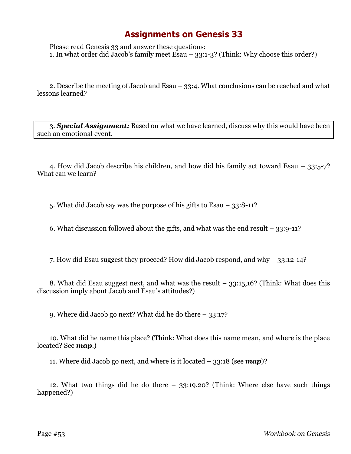Please read Genesis 33 and answer these questions: 1. In what order did Jacob's family meet Esau – 33:1-3? (Think: Why choose this order?)

2. Describe the meeting of Jacob and Esau – 33:4. What conclusions can be reached and what lessons learned?

3. *Special Assignment:* Based on what we have learned, discuss why this would have been such an emotional event.

4. How did Jacob describe his children, and how did his family act toward Esau – 33:5-7? What can we learn?

5. What did Jacob say was the purpose of his gifts to Esau – 33:8-11?

6. What discussion followed about the gifts, and what was the end result – 33:9-11?

7. How did Esau suggest they proceed? How did Jacob respond, and why – 33:12-14?

8. What did Esau suggest next, and what was the result – 33:15,16? (Think: What does this discussion imply about Jacob and Esau's attitudes?)

9. Where did Jacob go next? What did he do there – 33:17?

10. What did he name this place? (Think: What does this name mean, and where is the place located? See *map*.)

11. Where did Jacob go next, and where is it located – 33:18 (see *map*)?

12. What two things did he do there – 33:19,20? (Think: Where else have such things happened?)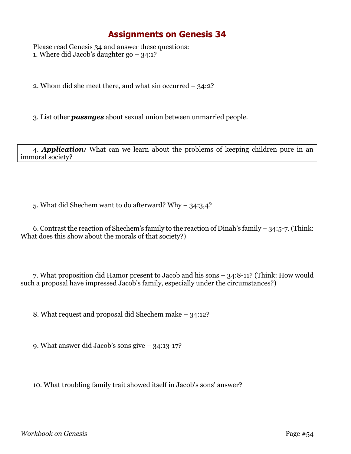Please read Genesis 34 and answer these questions: 1. Where did Jacob's daughter go – 34:1?

2. Whom did she meet there, and what sin occurred – 34:2?

3. List other *passages* about sexual union between unmarried people.

4. *Application:* What can we learn about the problems of keeping children pure in an immoral society?

5. What did Shechem want to do afterward? Why – 34:3,4?

6. Contrast the reaction of Shechem's family to the reaction of Dinah's family – 34:5-7. (Think: What does this show about the morals of that society?)

7. What proposition did Hamor present to Jacob and his sons – 34:8-11? (Think: How would such a proposal have impressed Jacob's family, especially under the circumstances?)

8. What request and proposal did Shechem make – 34:12?

9. What answer did Jacob's sons give – 34:13-17?

10. What troubling family trait showed itself in Jacob's sons' answer?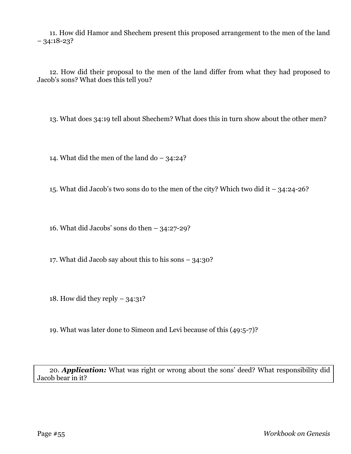11. How did Hamor and Shechem present this proposed arrangement to the men of the land  $-34:18-23?$ 

12. How did their proposal to the men of the land differ from what they had proposed to Jacob's sons? What does this tell you?

13. What does 34:19 tell about Shechem? What does this in turn show about the other men?

14. What did the men of the land do  $-$  34:24?

15. What did Jacob's two sons do to the men of the city? Which two did it – 34:24-26?

16. What did Jacobs' sons do then  $-34:27-29$ ?

17. What did Jacob say about this to his sons – 34:30?

18. How did they reply  $-34:31?$ 

19. What was later done to Simeon and Levi because of this (49:5-7)?

20. *Application:* What was right or wrong about the sons' deed? What responsibility did Jacob bear in it?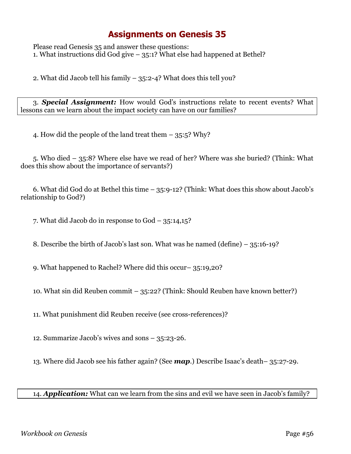Please read Genesis 35 and answer these questions: 1. What instructions did God give – 35:1? What else had happened at Bethel?

2. What did Jacob tell his family – 35:2-4? What does this tell you?

3. *Special Assignment:* How would God's instructions relate to recent events? What lessons can we learn about the impact society can have on our families?

4. How did the people of the land treat them – 35:5? Why?

5. Who died – 35:8? Where else have we read of her? Where was she buried? (Think: What does this show about the importance of servants?)

6. What did God do at Bethel this time – 35:9-12? (Think: What does this show about Jacob's relationship to God?)

7. What did Jacob do in response to God – 35:14,15?

8. Describe the birth of Jacob's last son. What was he named (define) – 35:16-19?

9. What happened to Rachel? Where did this occur– 35:19,20?

10. What sin did Reuben commit – 35:22? (Think: Should Reuben have known better?)

11. What punishment did Reuben receive (see cross-references)?

12. Summarize Jacob's wives and sons – 35:23-26.

13. Where did Jacob see his father again? (See *map*.) Describe Isaac's death– 35:27-29.

14. *Application:* What can we learn from the sins and evil we have seen in Jacob's family?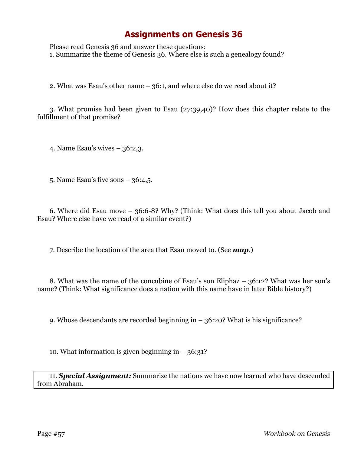Please read Genesis 36 and answer these questions: 1. Summarize the theme of Genesis 36. Where else is such a genealogy found?

2. What was Esau's other name – 36:1, and where else do we read about it?

3. What promise had been given to Esau (27:39,40)? How does this chapter relate to the fulfillment of that promise?

4. Name Esau's wives – 36:2,3.

5. Name Esau's five sons – 36:4,5.

6. Where did Esau move – 36:6-8? Why? (Think: What does this tell you about Jacob and Esau? Where else have we read of a similar event?)

7. Describe the location of the area that Esau moved to. (See *map*.)

8. What was the name of the concubine of Esau's son Eliphaz – 36:12? What was her son's name? (Think: What significance does a nation with this name have in later Bible history?)

9. Whose descendants are recorded beginning in – 36:20? What is his significance?

10. What information is given beginning in  $-36:31$ ?

11. *Special Assignment:* Summarize the nations we have now learned who have descended from Abraham.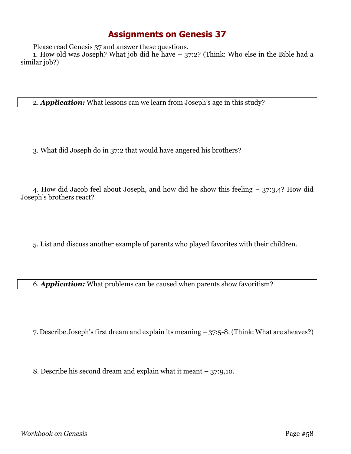Please read Genesis 37 and answer these questions.

1. How old was Joseph? What job did he have – 37:2? (Think: Who else in the Bible had a similar job?)

2. *Application:* What lessons can we learn from Joseph's age in this study?

3. What did Joseph do in 37:2 that would have angered his brothers?

4. How did Jacob feel about Joseph, and how did he show this feeling – 37:3,4? How did Joseph's brothers react?

5. List and discuss another example of parents who played favorites with their children.

6. *Application:* What problems can be caused when parents show favoritism?

7. Describe Joseph's first dream and explain its meaning – 37:5-8. (Think: What are sheaves?)

8. Describe his second dream and explain what it meant – 37:9,10.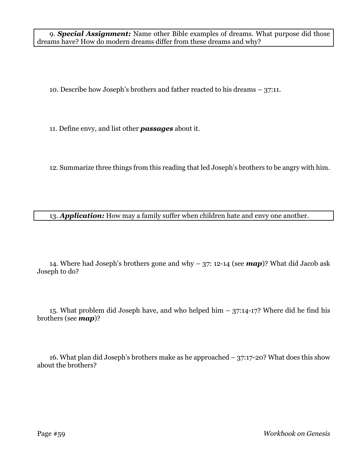9. *Special Assignment:* Name other Bible examples of dreams. What purpose did those dreams have? How do modern dreams differ from these dreams and why?

10. Describe how Joseph's brothers and father reacted to his dreams – 37:11.

11. Define envy, and list other *passages* about it.

12. Summarize three things from this reading that led Joseph's brothers to be angry with him.

13. *Application:* How may a family suffer when children hate and envy one another.

14. Where had Joseph's brothers gone and why – 37: 12-14 (see *map*)? What did Jacob ask Joseph to do?

15. What problem did Joseph have, and who helped him – 37:14-17? Where did he find his brothers (see *map*)?

16. What plan did Joseph's brothers make as he approached – 37:17-20? What does this show about the brothers?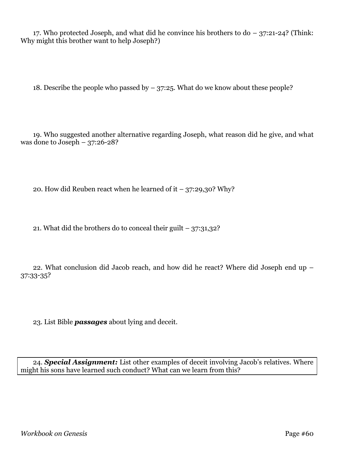17. Who protected Joseph, and what did he convince his brothers to do – 37:21-24? (Think: Why might this brother want to help Joseph?)

18. Describe the people who passed by  $-37:25$ . What do we know about these people?

19. Who suggested another alternative regarding Joseph, what reason did he give, and what was done to Joseph  $-37:26-28$ ?

20. How did Reuben react when he learned of it  $-$  37:29,30? Why?

21. What did the brothers do to conceal their guilt  $-37:31,32$ ?

22. What conclusion did Jacob reach, and how did he react? Where did Joseph end up – 37:33-35?

23. List Bible *passages* about lying and deceit.

24. *Special Assignment:* List other examples of deceit involving Jacob's relatives. Where might his sons have learned such conduct? What can we learn from this?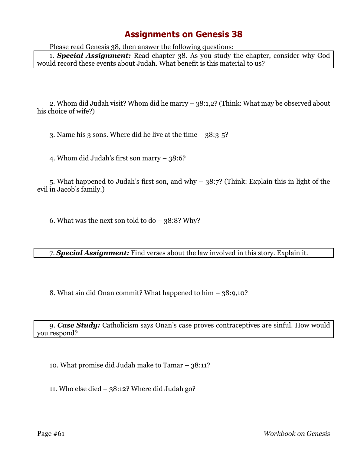Please read Genesis 38, then answer the following questions:

1. *Special Assignment:* Read chapter 38. As you study the chapter, consider why God would record these events about Judah. What benefit is this material to us?

2. Whom did Judah visit? Whom did he marry – 38:1,2? (Think: What may be observed about his choice of wife?)

3. Name his 3 sons. Where did he live at the time – 38:3-5?

4. Whom did Judah's first son marry – 38:6?

5. What happened to Judah's first son, and why – 38:7? (Think: Explain this in light of the evil in Jacob's family.)

6. What was the next son told to  $do - 38:8$ ? Why?

7. *Special Assignment:* Find verses about the law involved in this story. Explain it.

8. What sin did Onan commit? What happened to him – 38:9,10?

9. *Case Study:* Catholicism says Onan's case proves contraceptives are sinful. How would you respond?

10. What promise did Judah make to Tamar – 38:11?

11. Who else died – 38:12? Where did Judah go?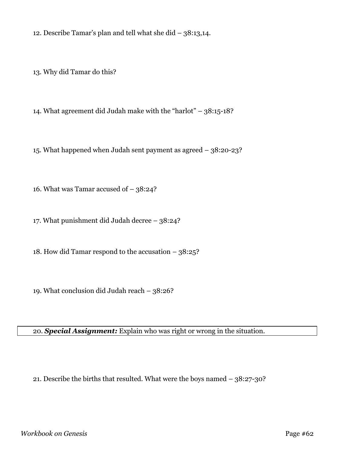12. Describe Tamar's plan and tell what she did – 38:13,14.

13. Why did Tamar do this?

14. What agreement did Judah make with the "harlot" – 38:15-18?

15. What happened when Judah sent payment as agreed – 38:20-23?

16. What was Tamar accused of – 38:24?

17. What punishment did Judah decree – 38:24?

18. How did Tamar respond to the accusation – 38:25?

19. What conclusion did Judah reach – 38:26?

20. *Special Assignment:* Explain who was right or wrong in the situation.

21. Describe the births that resulted. What were the boys named – 38:27-30?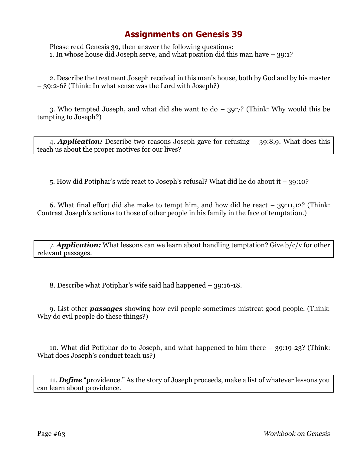Please read Genesis 39, then answer the following questions: 1. In whose house did Joseph serve, and what position did this man have – 39:1?

2. Describe the treatment Joseph received in this man's house, both by God and by his master – 39:2-6? (Think: In what sense was the Lord with Joseph?)

3. Who tempted Joseph, and what did she want to do – 39:7? (Think: Why would this be tempting to Joseph?)

4. *Application:* Describe two reasons Joseph gave for refusing – 39:8,9. What does this teach us about the proper motives for our lives?

5. How did Potiphar's wife react to Joseph's refusal? What did he do about it – 39:10?

6. What final effort did she make to tempt him, and how did he react – 39:11,12? (Think: Contrast Joseph's actions to those of other people in his family in the face of temptation.)

7. *Application:* What lessons can we learn about handling temptation? Give b/c/v for other relevant passages.

8. Describe what Potiphar's wife said had happened – 39:16-18.

9. List other *passages* showing how evil people sometimes mistreat good people. (Think: Why do evil people do these things?)

10. What did Potiphar do to Joseph, and what happened to him there – 39:19-23? (Think: What does Joseph's conduct teach us?)

11. *Define* "providence." As the story of Joseph proceeds, make a list of whatever lessons you can learn about providence.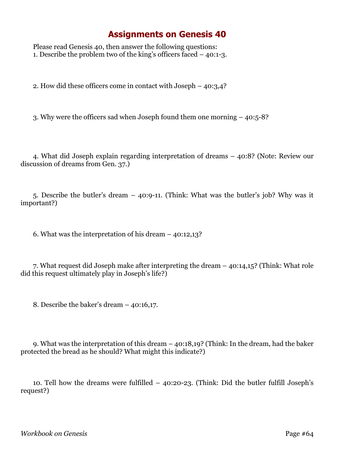Please read Genesis 40, then answer the following questions: 1. Describe the problem two of the king's officers faced – 40:1-3.

2. How did these officers come in contact with Joseph – 40:3,4?

3. Why were the officers sad when Joseph found them one morning – 40:5-8?

4. What did Joseph explain regarding interpretation of dreams – 40:8? (Note: Review our discussion of dreams from Gen. 37.)

5. Describe the butler's dream – 40:9-11. (Think: What was the butler's job? Why was it important?)

6. What was the interpretation of his dream – 40:12,13?

7. What request did Joseph make after interpreting the dream – 40:14,15? (Think: What role did this request ultimately play in Joseph's life?)

8. Describe the baker's dream – 40:16,17.

9. What was the interpretation of this dream – 40:18,19? (Think: In the dream, had the baker protected the bread as he should? What might this indicate?)

10. Tell how the dreams were fulfilled – 40:20-23. (Think: Did the butler fulfill Joseph's request?)

*Workbook on Genesis* Page #64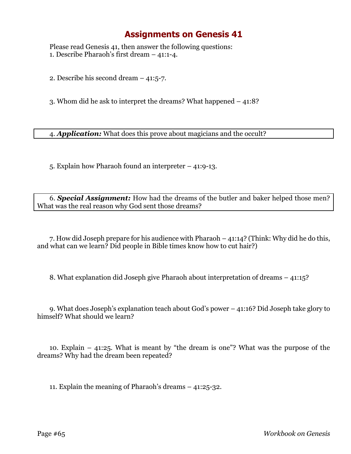Please read Genesis 41, then answer the following questions: 1. Describe Pharaoh's first dream – 41:1-4.

2. Describe his second dream – 41:5-7.

3. Whom did he ask to interpret the dreams? What happened – 41:8?

4. *Application:* What does this prove about magicians and the occult?

5. Explain how Pharaoh found an interpreter – 41:9-13.

6. *Special Assignment:* How had the dreams of the butler and baker helped those men? What was the real reason why God sent those dreams?

7. How did Joseph prepare for his audience with Pharaoh – 41:14? (Think: Why did he do this, and what can we learn? Did people in Bible times know how to cut hair?)

8. What explanation did Joseph give Pharaoh about interpretation of dreams – 41:15?

9. What does Joseph's explanation teach about God's power – 41:16? Did Joseph take glory to himself? What should we learn?

10. Explain – 41:25. What is meant by "the dream is one"? What was the purpose of the dreams? Why had the dream been repeated?

11. Explain the meaning of Pharaoh's dreams – 41:25-32.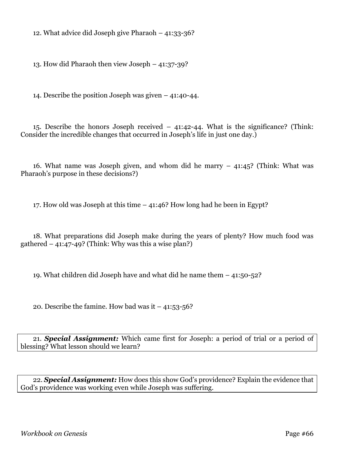12. What advice did Joseph give Pharaoh – 41:33-36?

13. How did Pharaoh then view Joseph – 41:37-39?

14. Describe the position Joseph was given – 41:40-44.

15. Describe the honors Joseph received – 41:42-44. What is the significance? (Think: Consider the incredible changes that occurred in Joseph's life in just one day.)

16. What name was Joseph given, and whom did he marry – 41:45? (Think: What was Pharaoh's purpose in these decisions?)

17. How old was Joseph at this time – 41:46? How long had he been in Egypt?

18. What preparations did Joseph make during the years of plenty? How much food was gathered  $-41:47-49$ ? (Think: Why was this a wise plan?)

19. What children did Joseph have and what did he name them – 41:50-52?

20. Describe the famine. How bad was it  $-41:53-56$ ?

21. *Special Assignment:* Which came first for Joseph: a period of trial or a period of blessing? What lesson should we learn?

22. *Special Assignment:* How does this show God's providence? Explain the evidence that God's providence was working even while Joseph was suffering.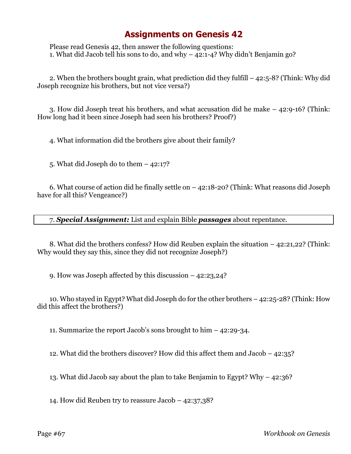Please read Genesis 42, then answer the following questions: 1. What did Jacob tell his sons to do, and why – 42:1-4? Why didn't Benjamin go?

2. When the brothers bought grain, what prediction did they fulfill – 42:5-8? (Think: Why did Joseph recognize his brothers, but not vice versa?)

3. How did Joseph treat his brothers, and what accusation did he make – 42:9-16? (Think: How long had it been since Joseph had seen his brothers? Proof?)

4. What information did the brothers give about their family?

5. What did Joseph do to them – 42:17?

6. What course of action did he finally settle on – 42:18-20? (Think: What reasons did Joseph have for all this? Vengeance?)

7. *Special Assignment:* List and explain Bible *passages* about repentance.

8. What did the brothers confess? How did Reuben explain the situation – 42:21,22? (Think: Why would they say this, since they did not recognize Joseph?)

9. How was Joseph affected by this discussion – 42:23,24?

10. Who stayed in Egypt? What did Joseph do for the other brothers – 42:25-28? (Think: How did this affect the brothers?)

11. Summarize the report Jacob's sons brought to him – 42:29-34.

12. What did the brothers discover? How did this affect them and Jacob – 42:35?

13. What did Jacob say about the plan to take Benjamin to Egypt? Why – 42:36?

14. How did Reuben try to reassure Jacob – 42:37,38?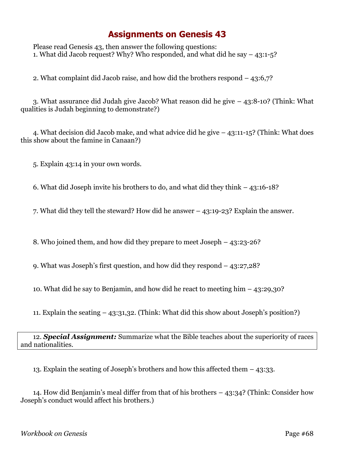Please read Genesis 43, then answer the following questions: 1. What did Jacob request? Why? Who responded, and what did he say – 43:1-5?

2. What complaint did Jacob raise, and how did the brothers respond – 43:6,7?

3. What assurance did Judah give Jacob? What reason did he give – 43:8-10? (Think: What qualities is Judah beginning to demonstrate?)

4. What decision did Jacob make, and what advice did he give – 43:11-15? (Think: What does this show about the famine in Canaan?)

5. Explain 43:14 in your own words.

6. What did Joseph invite his brothers to do, and what did they think – 43:16-18?

7. What did they tell the steward? How did he answer – 43:19-23? Explain the answer.

8. Who joined them, and how did they prepare to meet Joseph – 43:23-26?

9. What was Joseph's first question, and how did they respond – 43:27,28?

10. What did he say to Benjamin, and how did he react to meeting him – 43:29,30?

11. Explain the seating – 43:31,32. (Think: What did this show about Joseph's position?)

#### 12. *Special Assignment:* Summarize what the Bible teaches about the superiority of races and nationalities.

13. Explain the seating of Joseph's brothers and how this affected them – 43:33.

14. How did Benjamin's meal differ from that of his brothers – 43:34? (Think: Consider how Joseph's conduct would affect his brothers.)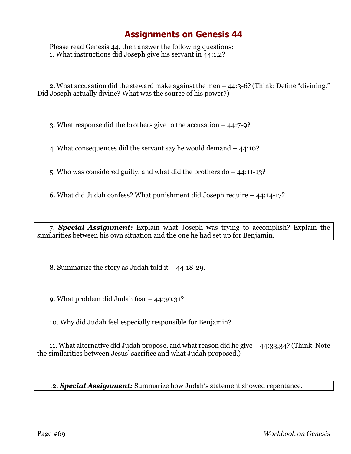Please read Genesis 44, then answer the following questions: 1. What instructions did Joseph give his servant in 44:1,2?

2. What accusation did the steward make against the men – 44:3-6? (Think: Define "divining." Did Joseph actually divine? What was the source of his power?)

3. What response did the brothers give to the accusation – 44:7-9?

4. What consequences did the servant say he would demand – 44:10?

5. Who was considered guilty, and what did the brothers do – 44:11-13?

6. What did Judah confess? What punishment did Joseph require – 44:14-17?

7. *Special Assignment:* Explain what Joseph was trying to accomplish? Explain the similarities between his own situation and the one he had set up for Benjamin.

8. Summarize the story as Judah told it – 44:18-29.

9. What problem did Judah fear – 44:30,31?

10. Why did Judah feel especially responsible for Benjamin?

11. What alternative did Judah propose, and what reason did he give – 44:33,34? (Think: Note the similarities between Jesus' sacrifice and what Judah proposed.)

12. *Special Assignment:* Summarize how Judah's statement showed repentance.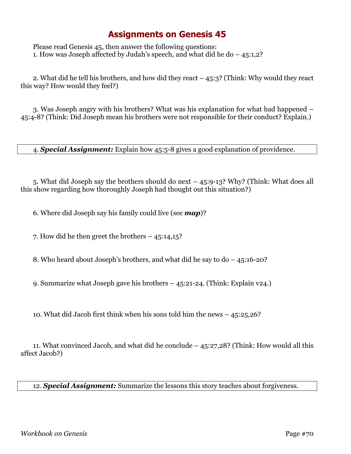Please read Genesis 45, then answer the following questions: 1. How was Joseph affected by Judah's speech, and what did he do  $-45:1,2$ ?

2. What did he tell his brothers, and how did they react – 45:3? (Think: Why would they react this way? How would they feel?)

3. Was Joseph angry with his brothers? What was his explanation for what had happened – 45:4-8? (Think: Did Joseph mean his brothers were not responsible for their conduct? Explain.)

4. *Special Assignment:* Explain how 45:5-8 gives a good explanation of providence.

5. What did Joseph say the brothers should do next – 45:9-13? Why? (Think: What does all this show regarding how thoroughly Joseph had thought out this situation?)

6. Where did Joseph say his family could live (see *map*)?

7. How did he then greet the brothers – 45:14,15?

8. Who heard about Joseph's brothers, and what did he say to do – 45:16-20?

9. Summarize what Joseph gave his brothers – 45:21-24. (Think: Explain v24.)

10. What did Jacob first think when his sons told him the news – 45:25,26?

11. What convinced Jacob, and what did he conclude – 45:27,28? (Think: How would all this affect Jacob?)

12. *Special Assignment:* Summarize the lessons this story teaches about forgiveness.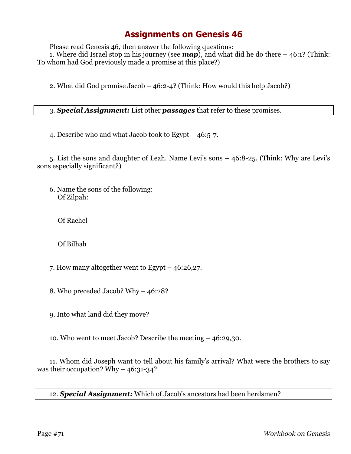Please read Genesis 46, then answer the following questions:

1. Where did Israel stop in his journey (see *map*), and what did he do there – 46:1? (Think: To whom had God previously made a promise at this place?)

2. What did God promise Jacob – 46:2-4? (Think: How would this help Jacob?)

#### 3. *Special Assignment:* List other *passages* that refer to these promises.

4. Describe who and what Jacob took to Egypt – 46:5-7.

5. List the sons and daughter of Leah. Name Levi's sons – 46:8-25. (Think: Why are Levi's sons especially significant?)

6. Name the sons of the following: Of Zilpah:

Of Rachel

Of Bilhah

- 7. How many altogether went to Egypt 46:26,27.
- 8. Who preceded Jacob? Why 46:28?

9. Into what land did they move?

10. Who went to meet Jacob? Describe the meeting – 46:29,30.

11. Whom did Joseph want to tell about his family's arrival? What were the brothers to say was their occupation? Why  $-46:31-34$ ?

12. *Special Assignment:* Which of Jacob's ancestors had been herdsmen?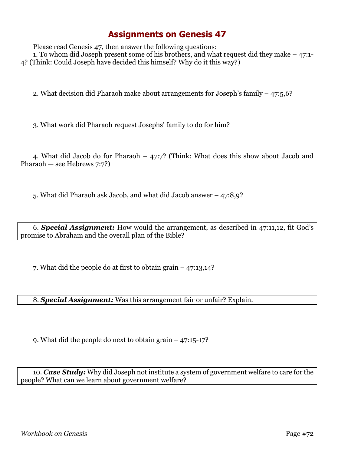Please read Genesis 47, then answer the following questions: 1. To whom did Joseph present some of his brothers, and what request did they make – 47:1- 4? (Think: Could Joseph have decided this himself? Why do it this way?)

2. What decision did Pharaoh make about arrangements for Joseph's family – 47:5,6?

3. What work did Pharaoh request Josephs' family to do for him?

4. What did Jacob do for Pharaoh – 47:7? (Think: What does this show about Jacob and Pharaoh — see Hebrews 7:7?)

5. What did Pharaoh ask Jacob, and what did Jacob answer – 47:8,9?

6. *Special Assignment:* How would the arrangement, as described in 47:11,12, fit God's promise to Abraham and the overall plan of the Bible?

7. What did the people do at first to obtain grain – 47:13,14?

8. *Special Assignment:* Was this arrangement fair or unfair? Explain.

9. What did the people do next to obtain grain – 47:15-17?

10. *Case Study:* Why did Joseph not institute a system of government welfare to care for the people? What can we learn about government welfare?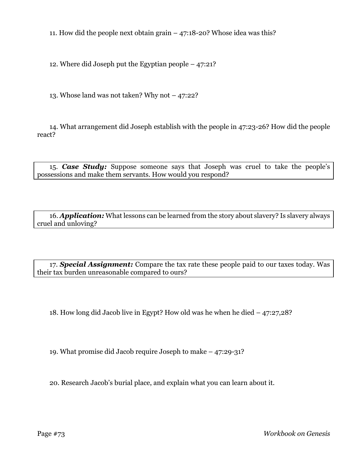11. How did the people next obtain grain  $-47:18-20$ ? Whose idea was this?

12. Where did Joseph put the Egyptian people – 47:21?

13. Whose land was not taken? Why not – 47:22?

14. What arrangement did Joseph establish with the people in 47:23-26? How did the people react?

15. *Case Study:* Suppose someone says that Joseph was cruel to take the people's possessions and make them servants. How would you respond?

16. *Application:* What lessons can be learned from the story about slavery? Is slavery always cruel and unloving?

17. *Special Assignment:* Compare the tax rate these people paid to our taxes today. Was their tax burden unreasonable compared to ours?

18. How long did Jacob live in Egypt? How old was he when he died – 47:27,28?

19. What promise did Jacob require Joseph to make – 47:29-31?

20. Research Jacob's burial place, and explain what you can learn about it.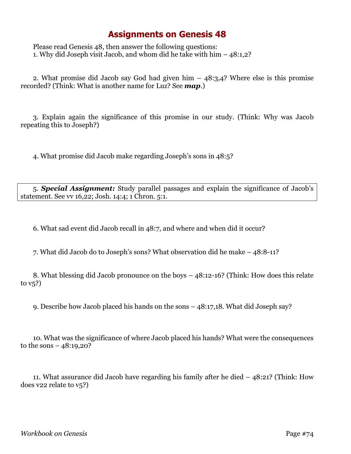## **Assignments on Genesis 48**

Please read Genesis 48, then answer the following questions: 1. Why did Joseph visit Jacob, and whom did he take with him – 48:1,2?

2. What promise did Jacob say God had given him – 48:3,4? Where else is this promise recorded? (Think: What is another name for Luz? See *map*.)

3. Explain again the significance of this promise in our study. (Think: Why was Jacob repeating this to Joseph?)

4. What promise did Jacob make regarding Joseph's sons in 48:5?

5. *Special Assignment:* Study parallel passages and explain the significance of Jacob's statement. See vv 16,22; Josh. 14:4; 1 Chron. 5:1.

6. What sad event did Jacob recall in 48:7, and where and when did it occur?

7. What did Jacob do to Joseph's sons? What observation did he make – 48:8-11?

8. What blessing did Jacob pronounce on the boys – 48:12-16? (Think: How does this relate to v5?)

9. Describe how Jacob placed his hands on the sons – 48:17,18. What did Joseph say?

10. What was the significance of where Jacob placed his hands? What were the consequences to the sons  $-48:19,20$ ?

11. What assurance did Jacob have regarding his family after he died – 48:21? (Think: How does v22 relate to v5?)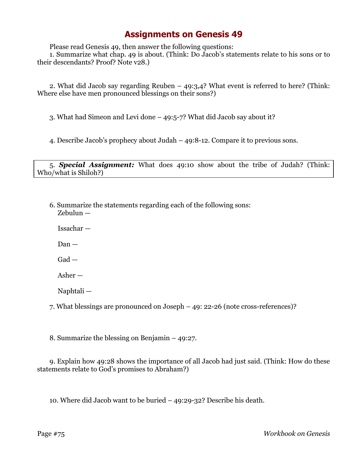## **Assignments on Genesis 49**

Please read Genesis 49, then answer the following questions:

1. Summarize what chap. 49 is about. (Think: Do Jacob's statements relate to his sons or to their descendants? Proof? Note v28.)

2. What did Jacob say regarding Reuben – 49:3,4? What event is referred to here? (Think: Where else have men pronounced blessings on their sons?)

3. What had Simeon and Levi done – 49:5-7? What did Jacob say about it?

4. Describe Jacob's prophecy about Judah – 49:8-12. Compare it to previous sons.

5. *Special Assignment:* What does 49:10 show about the tribe of Judah? (Think: Who/what is Shiloh?)

6. Summarize the statements regarding each of the following sons: Zebulun —

Issachar —

Dan —

Gad —

Asher —

Naphtali —

7. What blessings are pronounced on Joseph – 49: 22-26 (note cross-references)?

8. Summarize the blessing on Benjamin – 49:27.

9. Explain how 49:28 shows the importance of all Jacob had just said. (Think: How do these statements relate to God's promises to Abraham?)

10. Where did Jacob want to be buried – 49:29-32? Describe his death.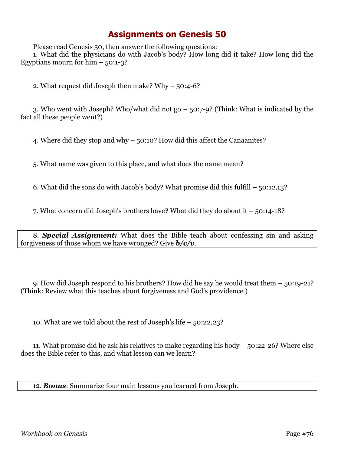## **Assignments on Genesis 50**

Please read Genesis 50, then answer the following questions:

1. What did the physicians do with Jacob's body? How long did it take? How long did the Egyptians mourn for  $him - 50:1-3?$ 

2. What request did Joseph then make? Why – 50:4-6?

3. Who went with Joseph? Who/what did not go – 50:7-9? (Think: What is indicated by the fact all these people went?)

4. Where did they stop and why – 50:10? How did this affect the Canaanites?

5. What name was given to this place, and what does the name mean?

6. What did the sons do with Jacob's body? What promise did this fulfill – 50:12,13?

7. What concern did Joseph's brothers have? What did they do about it – 50:14-18?

8. *Special Assignment:* What does the Bible teach about confessing sin and asking forgiveness of those whom we have wronged? Give *b/c/v*.

9. How did Joseph respond to his brothers? How did he say he would treat them – 50:19-21? (Think: Review what this teaches about forgiveness and God's providence.)

10. What are we told about the rest of Joseph's life – 50:22,23?

11. What promise did he ask his relatives to make regarding his body – 50:22-26? Where else does the Bible refer to this, and what lesson can we learn?

12. *Bonus*: Summarize four main lessons you learned from Joseph.